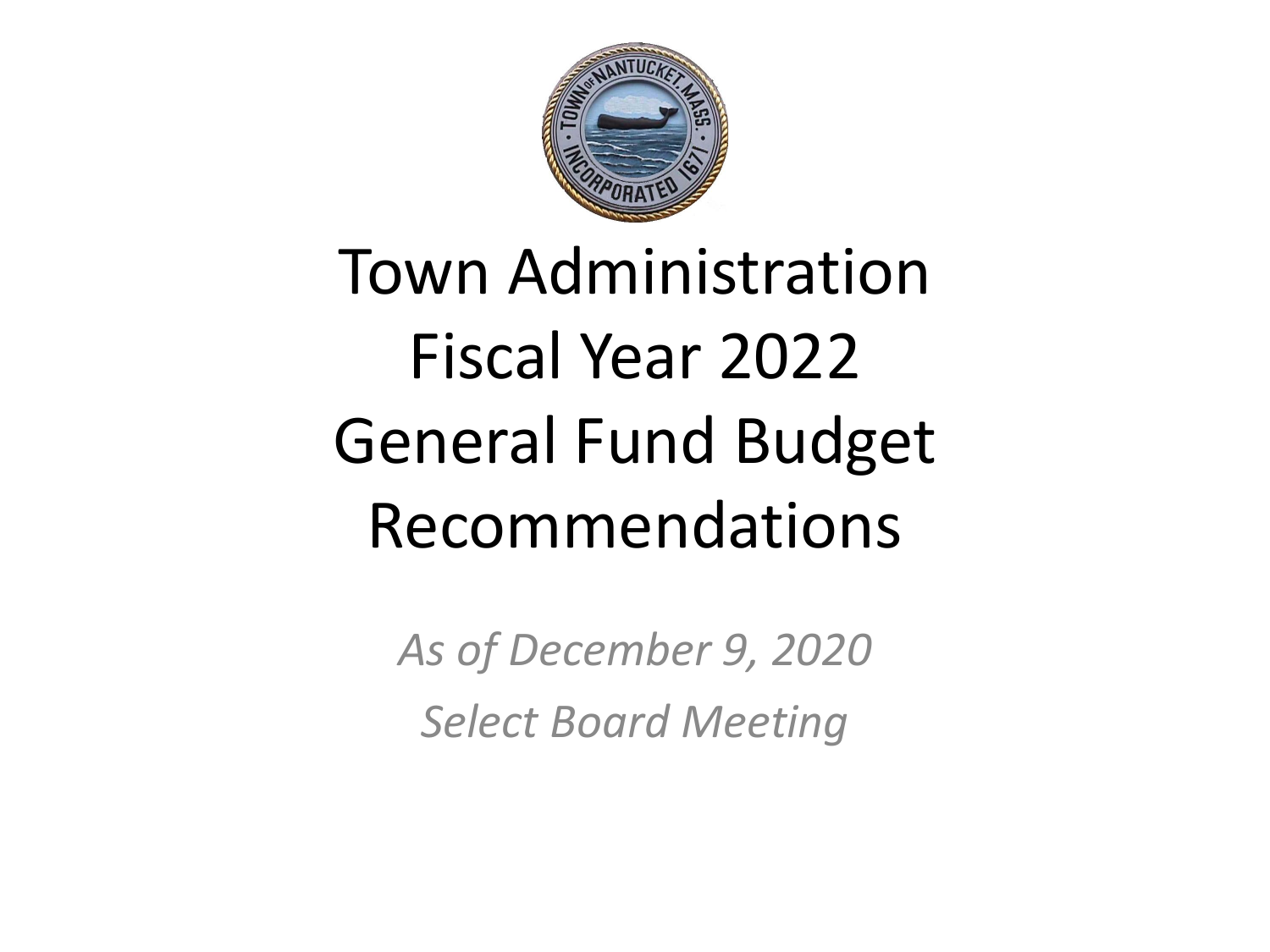

# Town Administration Fiscal Year 2022 General Fund Budget Recommendations

*As of December 9, 2020 Select Board Meeting*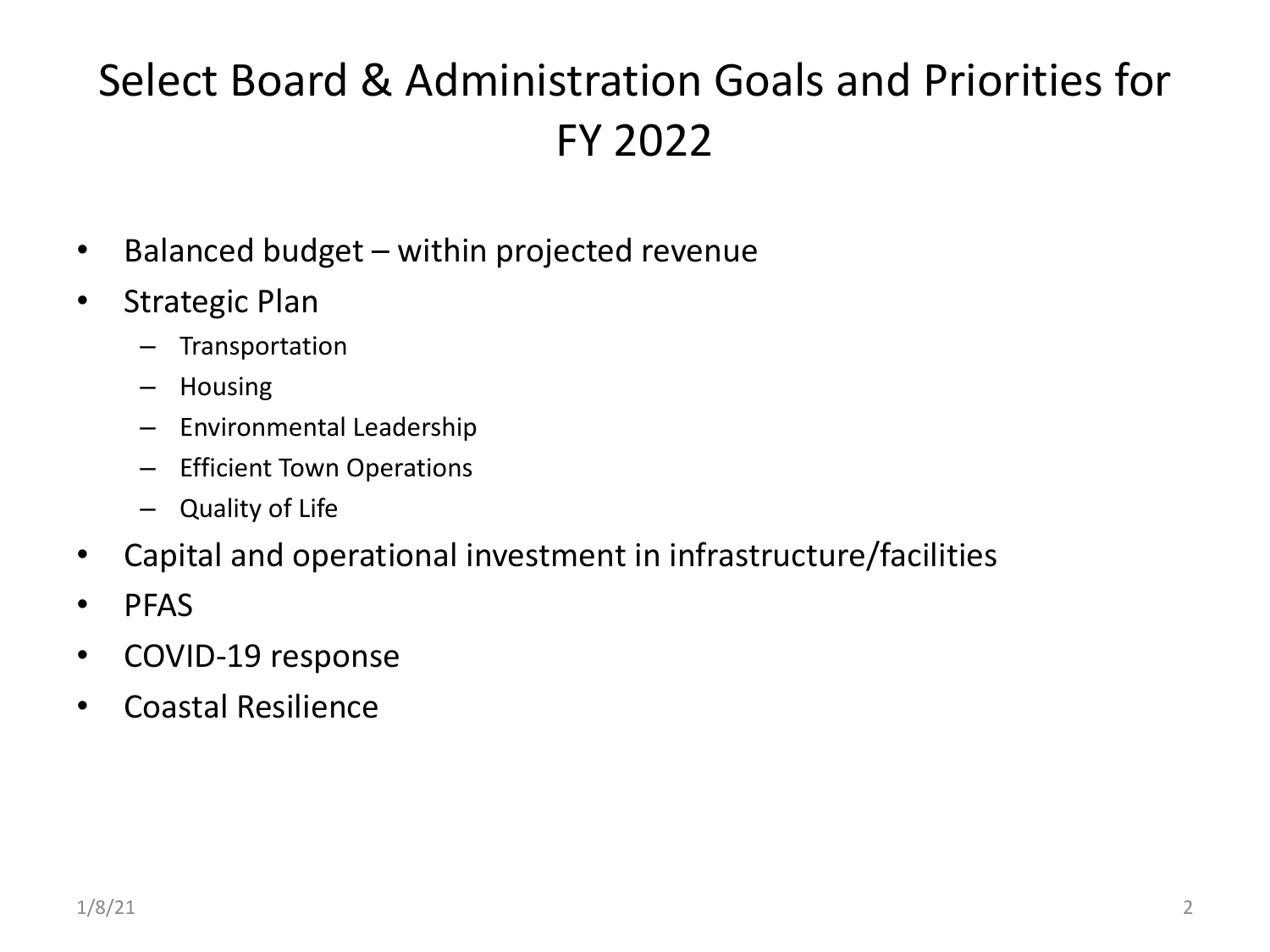## Select Board & Administration Goals and Priorities for FY 2022

- Balanced budget within projected revenue
- Strategic Plan
	- Transportation
	- Housing
	- Environmental Leadership
	- Efficient Town Operations
	- Quality of Life
- Capital and operational investment in infrastructure/facilities
- PFAS
- COVID-19 response
- Coastal Resilience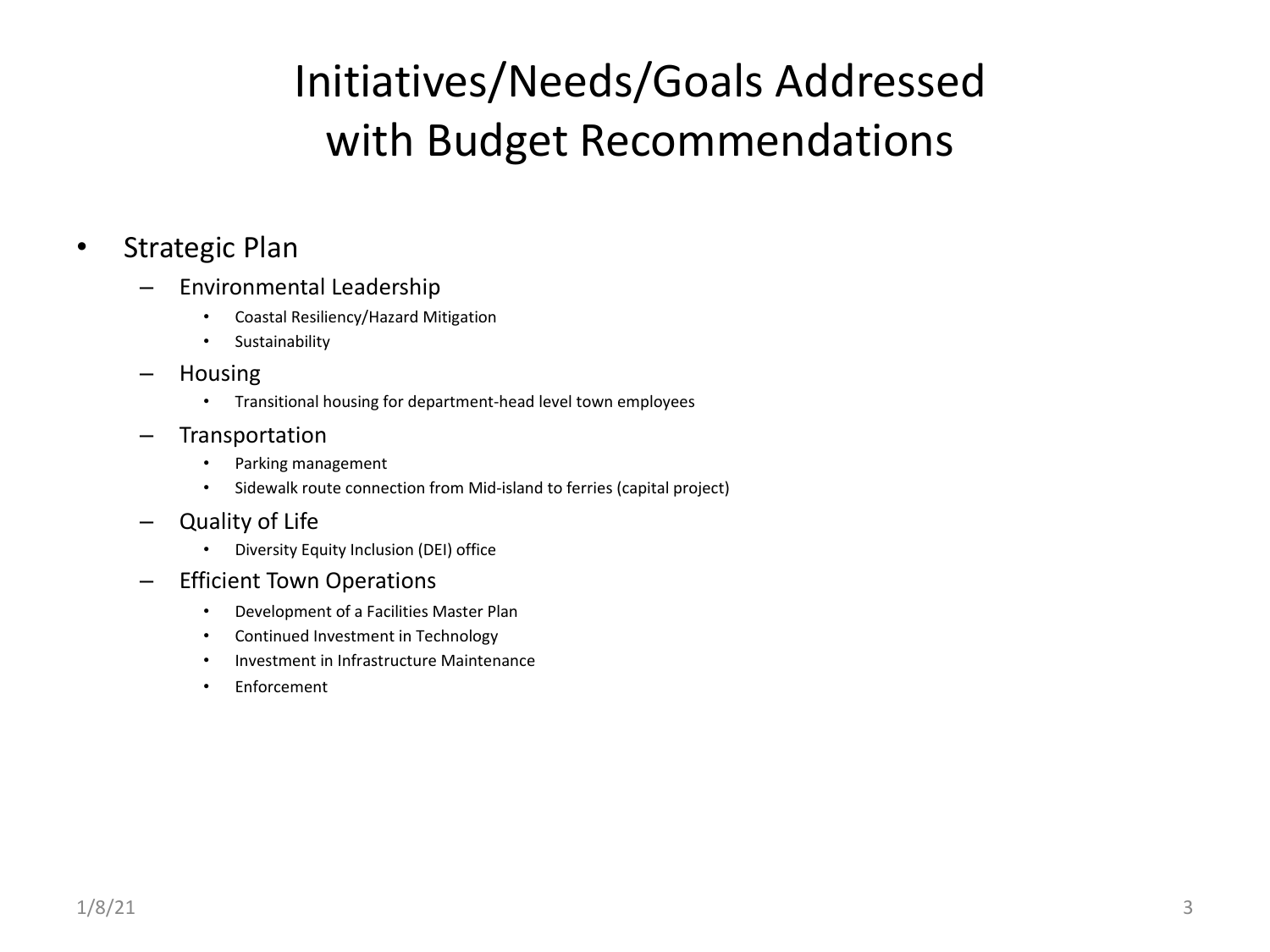## Initiatives/Needs/Goals Addressed with Budget Recommendations

#### • Strategic Plan

- Environmental Leadership
	- Coastal Resiliency/Hazard Mitigation
	- Sustainability
- Housing
	- Transitional housing for department-head level town employees
- Transportation
	- Parking management
	- Sidewalk route connection from Mid-island to ferries (capital project)
- Quality of Life
	- Diversity Equity Inclusion (DEI) office
- Efficient Town Operations
	- Development of a Facilities Master Plan
	- Continued Investment in Technology
	- Investment in Infrastructure Maintenance
	- Enforcement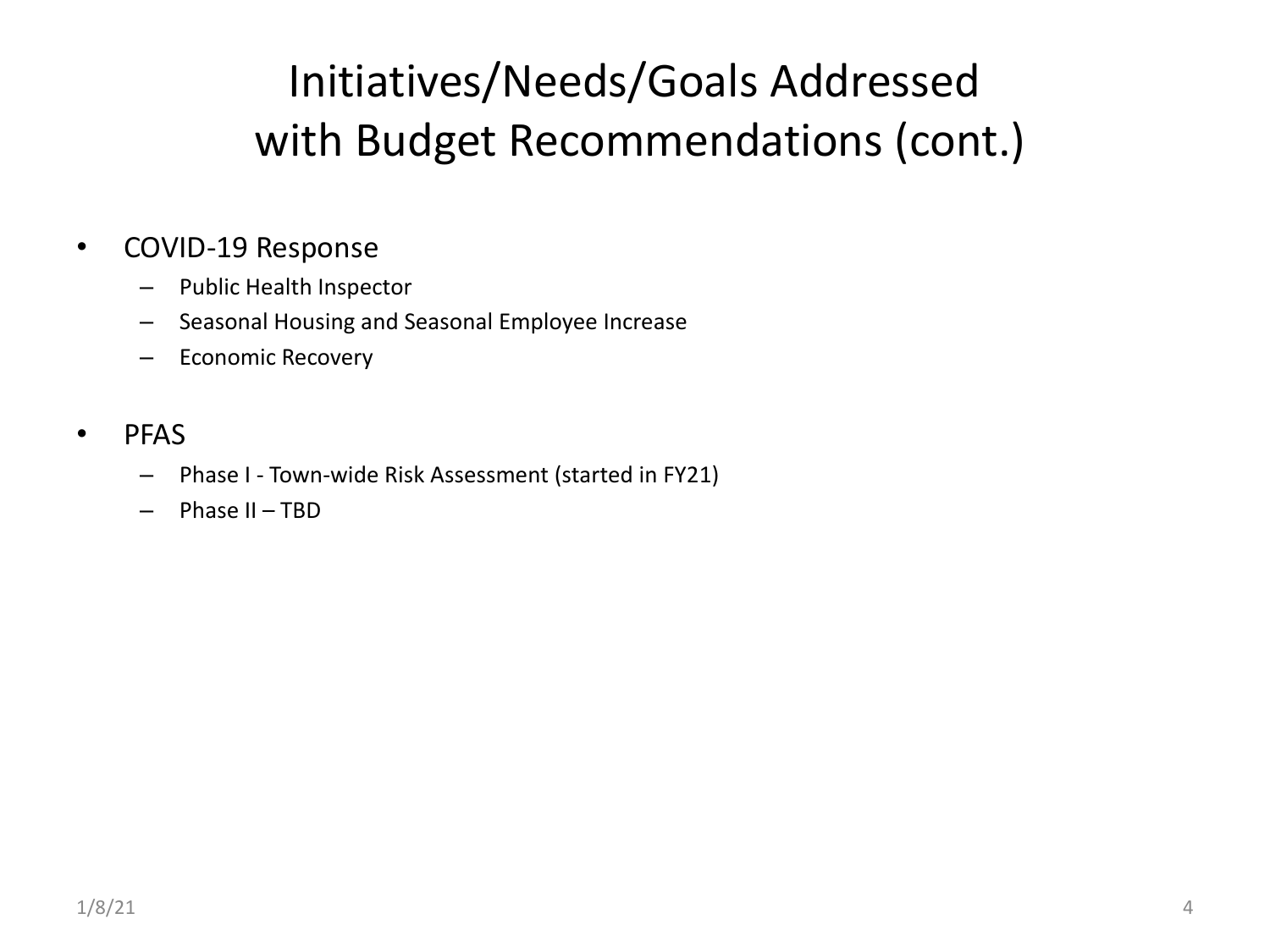## Initiatives/Needs/Goals Addressed with Budget Recommendations (cont.)

#### • COVID-19 Response

- Public Health Inspector
- Seasonal Housing and Seasonal Employee Increase
- Economic Recovery

#### • PFAS

- Phase I Town-wide Risk Assessment (started in FY21)
- $-$  Phase II TBD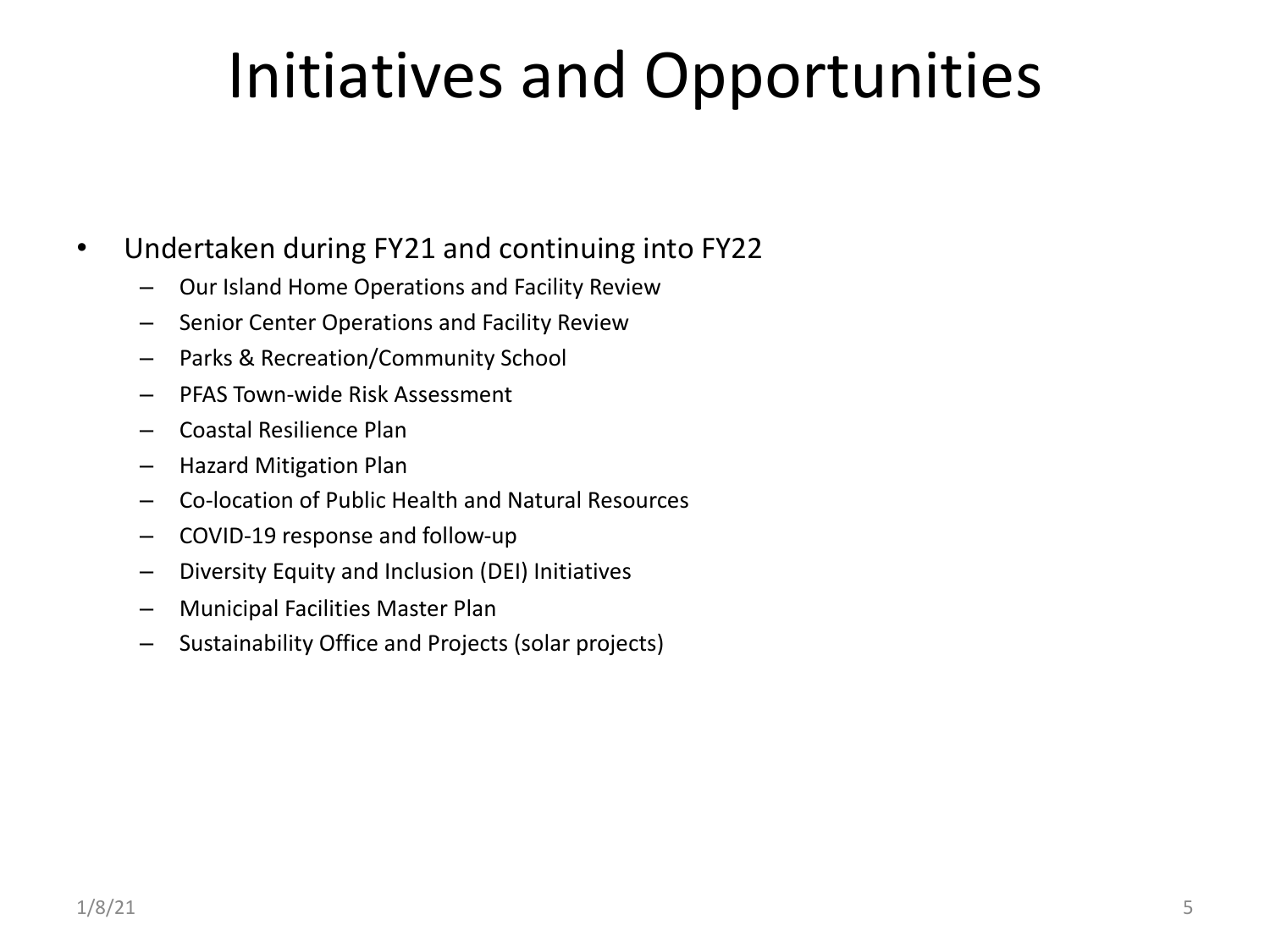# Initiatives and Opportunities

#### • Undertaken during FY21 and continuing into FY22

- Our Island Home Operations and Facility Review
- Senior Center Operations and Facility Review
- Parks & Recreation/Community School
- PFAS Town-wide Risk Assessment
- Coastal Resilience Plan
- Hazard Mitigation Plan
- Co-location of Public Health and Natural Resources
- COVID-19 response and follow-up
- Diversity Equity and Inclusion (DEI) Initiatives
- Municipal Facilities Master Plan
- Sustainability Office and Projects (solar projects)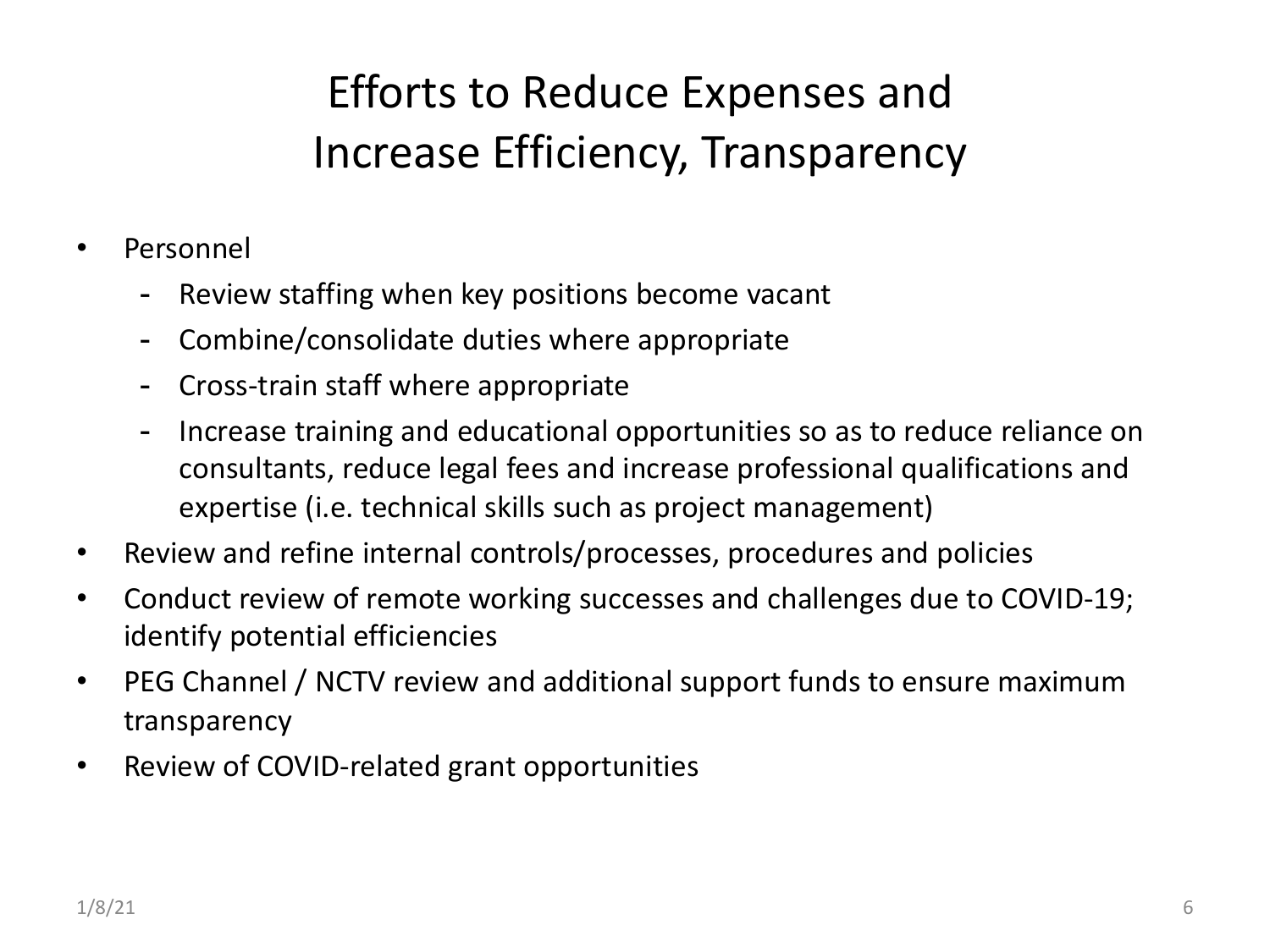## Efforts to Reduce Expenses and Increase Efficiency, Transparency

- Personnel
	- Review staffing when key positions become vacant
	- Combine/consolidate duties where appropriate
	- Cross-train staff where appropriate
	- Increase training and educational opportunities so as to reduce reliance on consultants, reduce legal fees and increase professional qualifications and expertise (i.e. technical skills such as project management)
- Review and refine internal controls/processes, procedures and policies
- Conduct review of remote working successes and challenges due to COVID-19; identify potential efficiencies
- PEG Channel / NCTV review and additional support funds to ensure maximum transparency
- Review of COVID-related grant opportunities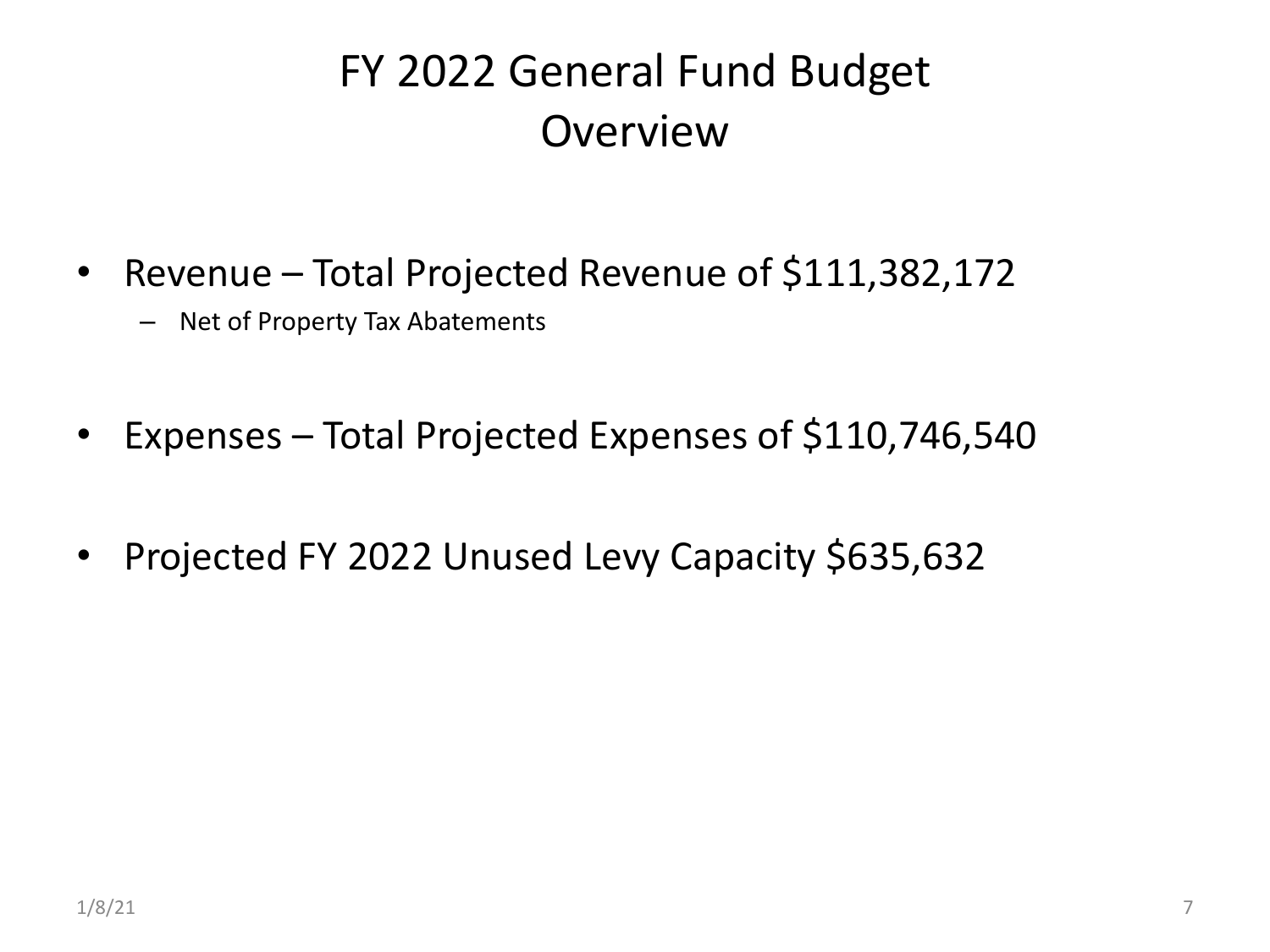## FY 2022 General Fund Budget Overview

- Revenue Total Projected Revenue of \$111,382,172
	- Net of Property Tax Abatements
- Expenses Total Projected Expenses of \$110,746,540
- Projected FY 2022 Unused Levy Capacity \$635,632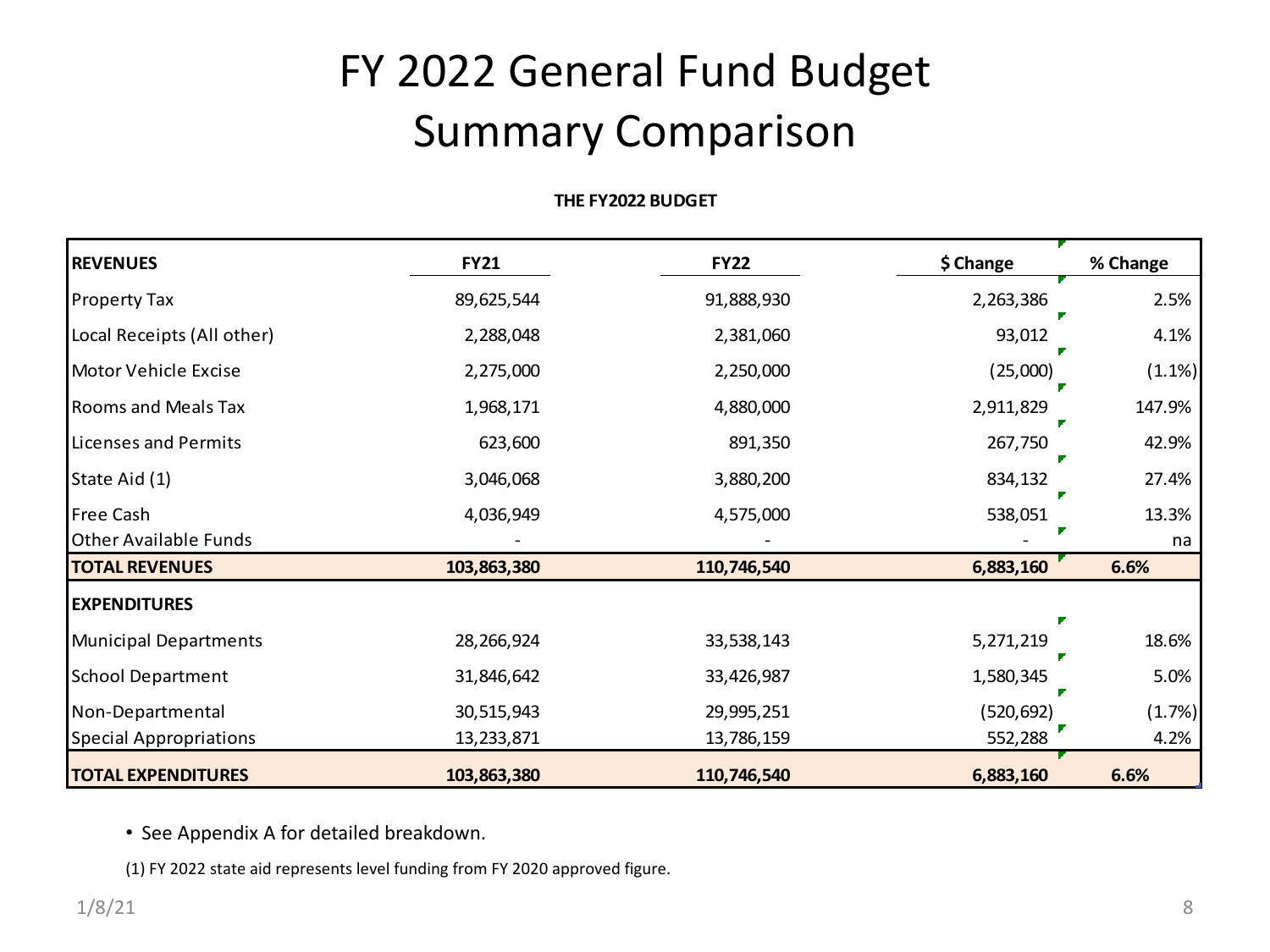## FY 2022 General Fund Budget Summary Comparison

#### **THE FY2022 BUDGET**

| <b>REVENUES</b>               | <b>FY21</b> | <b>FY22</b> | \$ Change  | % Change |
|-------------------------------|-------------|-------------|------------|----------|
| <b>Property Tax</b>           | 89,625,544  | 91,888,930  | 2,263,386  | 2.5%     |
| Local Receipts (All other)    | 2,288,048   | 2,381,060   | 93,012     | 4.1%     |
| Motor Vehicle Excise          | 2,275,000   | 2,250,000   | (25,000)   | (1.1%)   |
| Rooms and Meals Tax           | 1,968,171   | 4,880,000   | 2,911,829  | 147.9%   |
| Licenses and Permits          | 623,600     | 891,350     | 267,750    | 42.9%    |
| State Aid (1)                 | 3,046,068   | 3,880,200   | 834,132    | 27.4%    |
| <b>Free Cash</b>              | 4,036,949   | 4,575,000   | 538,051    | 13.3%    |
| <b>Other Available Funds</b>  |             |             |            | na       |
| <b>TOTAL REVENUES</b>         | 103,863,380 | 110,746,540 | 6,883,160  | 6.6%     |
| <b>EXPENDITURES</b>           |             |             |            |          |
| <b>Municipal Departments</b>  | 28,266,924  | 33,538,143  | 5,271,219  | 18.6%    |
| <b>School Department</b>      | 31,846,642  | 33,426,987  | 1,580,345  | 5.0%     |
| Non-Departmental              | 30,515,943  | 29,995,251  | (520, 692) | (1.7%)   |
| <b>Special Appropriations</b> | 13,233,871  | 13,786,159  | 552,288    | 4.2%     |
| <b>TOTAL EXPENDITURES</b>     | 103,863,380 | 110,746,540 | 6,883,160  | 6.6%     |

• See Appendix A for detailed breakdown.

(1) FY 2022 state aid represents level funding from FY 2020 approved figure.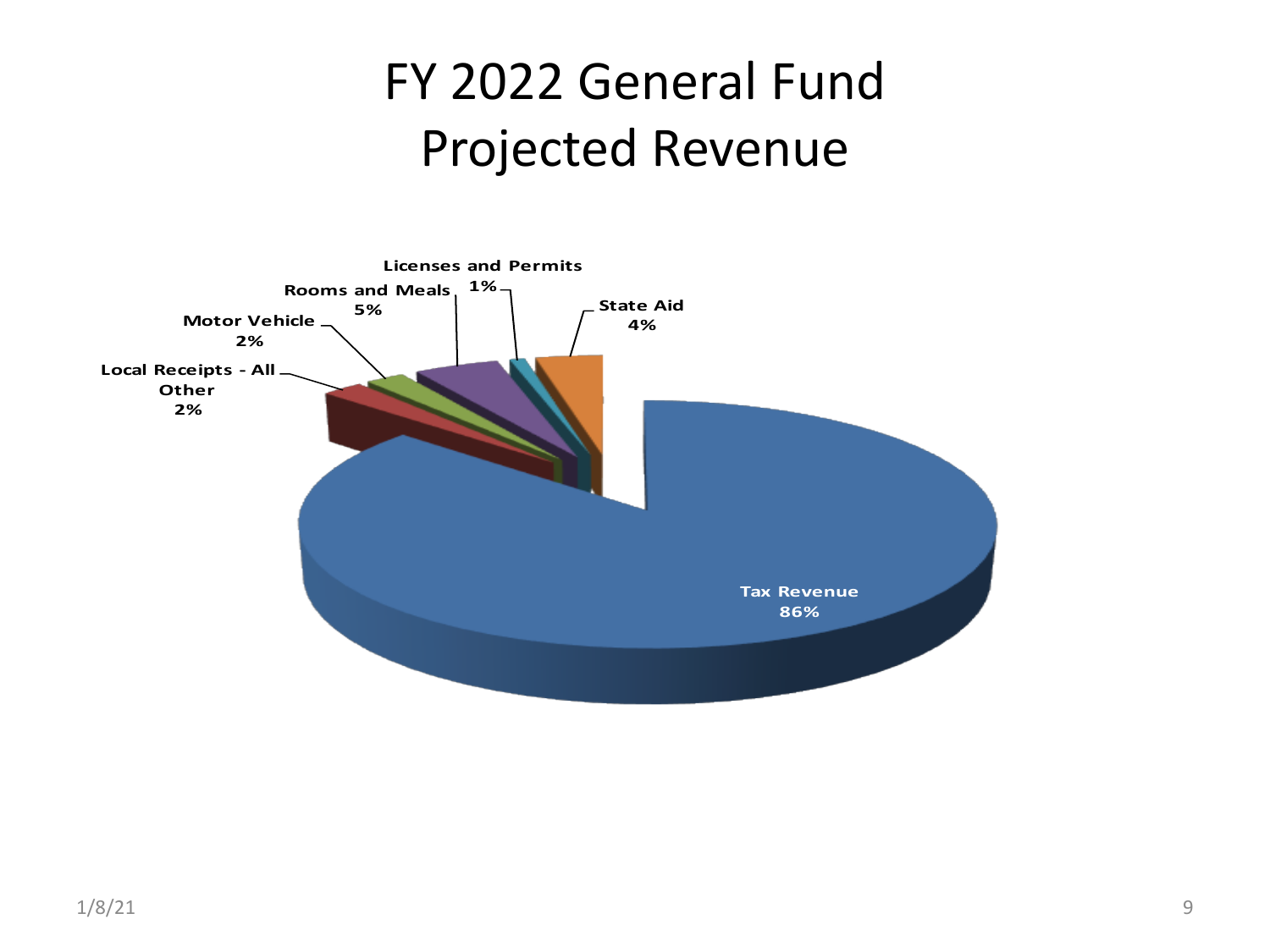# FY 2022 General Fund Projected Revenue

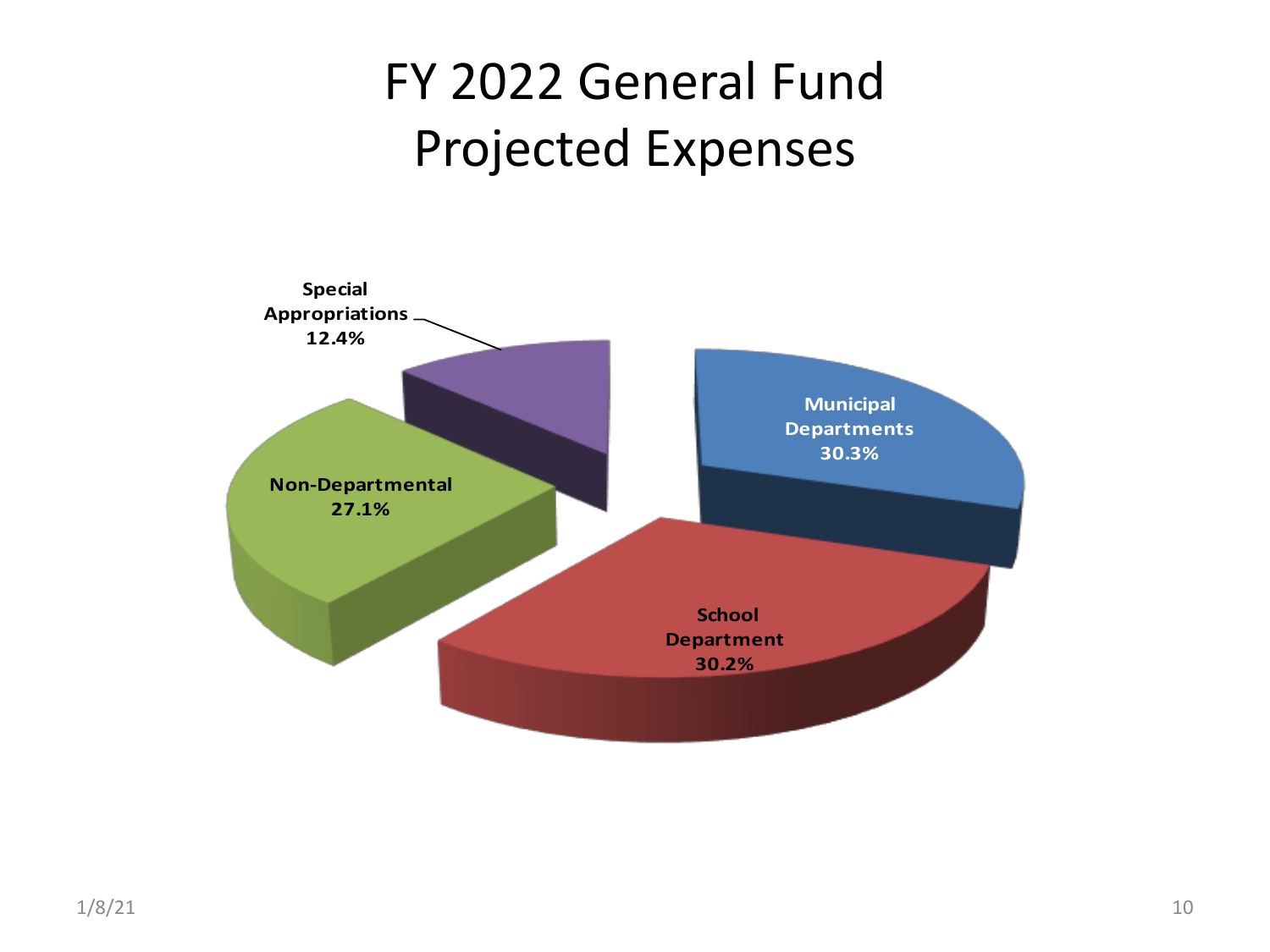# FY 2022 General Fund Projected Expenses

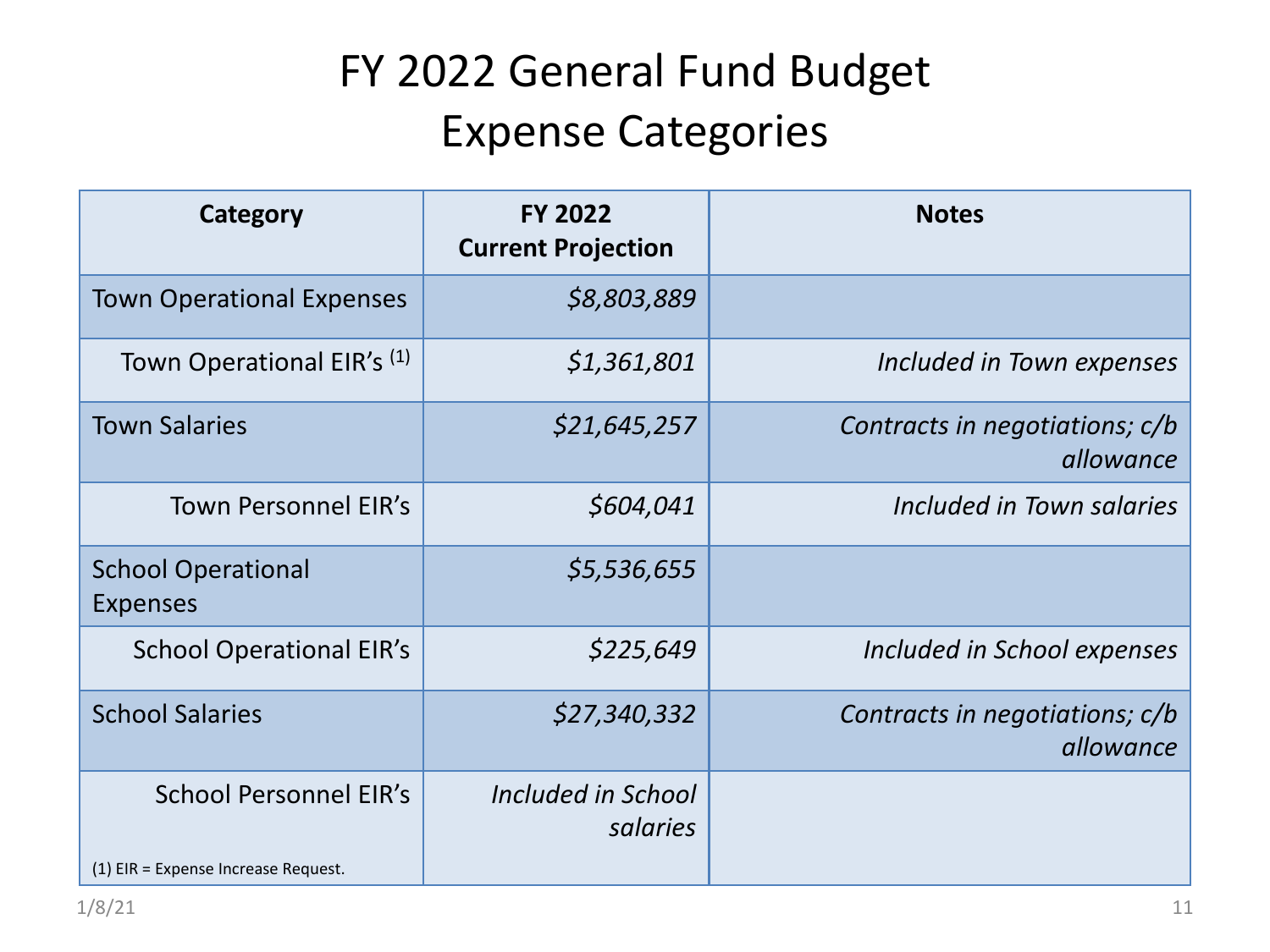## FY 2022 General Fund Budget Expense Categories

| Category                                     | <b>FY 2022</b><br><b>Current Projection</b> | <b>Notes</b>                                |
|----------------------------------------------|---------------------------------------------|---------------------------------------------|
| <b>Town Operational Expenses</b>             | \$8,803,889                                 |                                             |
| Town Operational EIR's (1)                   | \$1,361,801                                 | Included in Town expenses                   |
| <b>Town Salaries</b>                         | \$21,645,257                                | Contracts in negotiations; c/b<br>allowance |
| <b>Town Personnel EIR's</b>                  | \$604,041                                   | Included in Town salaries                   |
| <b>School Operational</b><br><b>Expenses</b> | \$5,536,655                                 |                                             |
| <b>School Operational EIR's</b>              | \$225,649                                   | Included in School expenses                 |
| <b>School Salaries</b>                       | \$27,340,332                                | Contracts in negotiations; c/b<br>allowance |
| <b>School Personnel EIR's</b>                | Included in School<br>salaries              |                                             |
| (1) EIR = Expense Increase Request.          |                                             |                                             |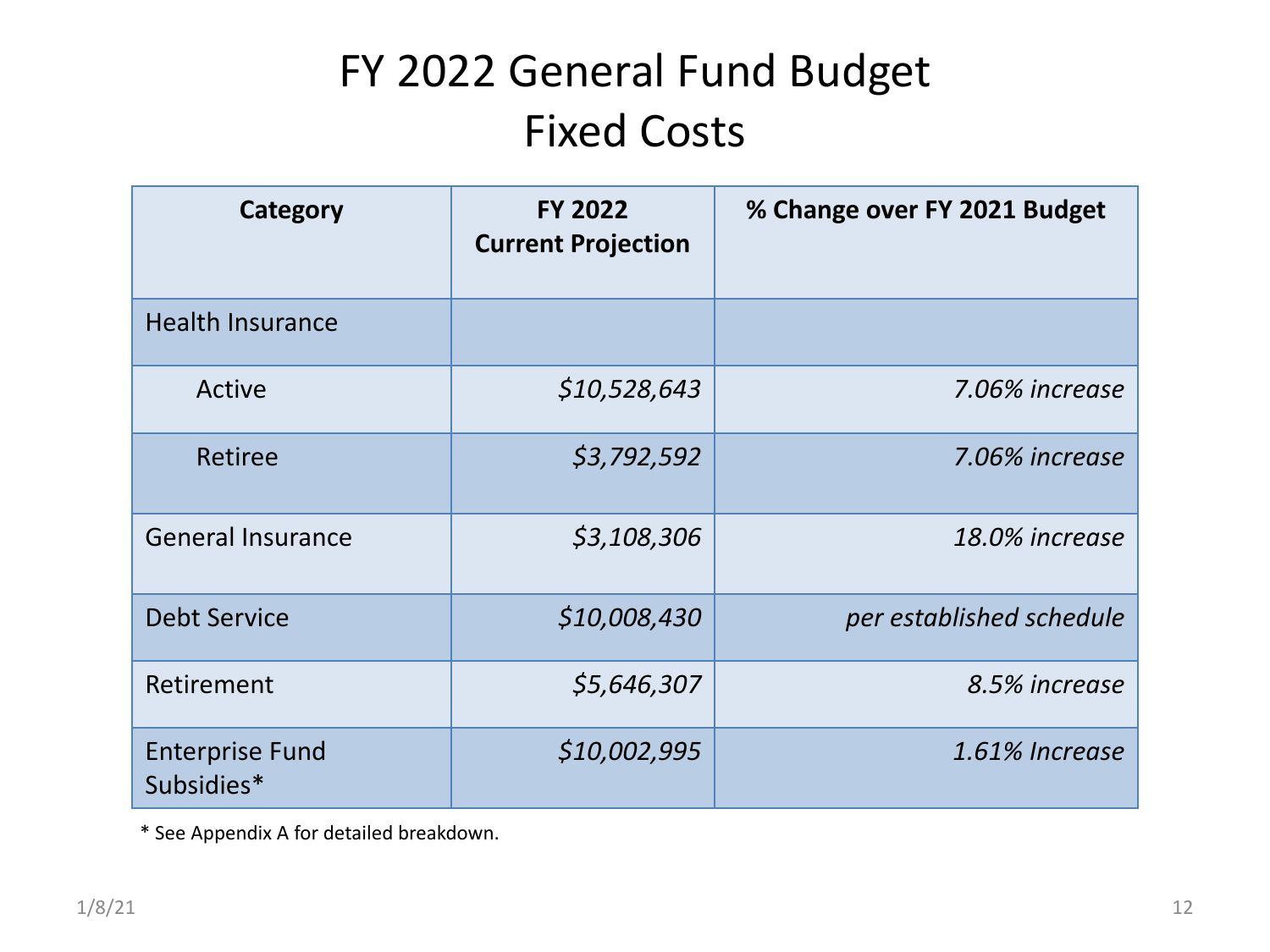## FY 2022 General Fund Budget Fixed Costs

| Category                             | <b>FY 2022</b><br><b>Current Projection</b> | % Change over FY 2021 Budget |
|--------------------------------------|---------------------------------------------|------------------------------|
| <b>Health Insurance</b>              |                                             |                              |
| Active                               | \$10,528,643                                | 7.06% increase               |
| Retiree                              | \$3,792,592                                 | 7.06% increase               |
| <b>General Insurance</b>             | \$3,108,306                                 | 18.0% increase               |
| <b>Debt Service</b>                  | \$10,008,430                                | per established schedule     |
| Retirement                           | \$5,646,307                                 | 8.5% increase                |
| <b>Enterprise Fund</b><br>Subsidies* | \$10,002,995                                | 1.61% Increase               |

\* See Appendix A for detailed breakdown.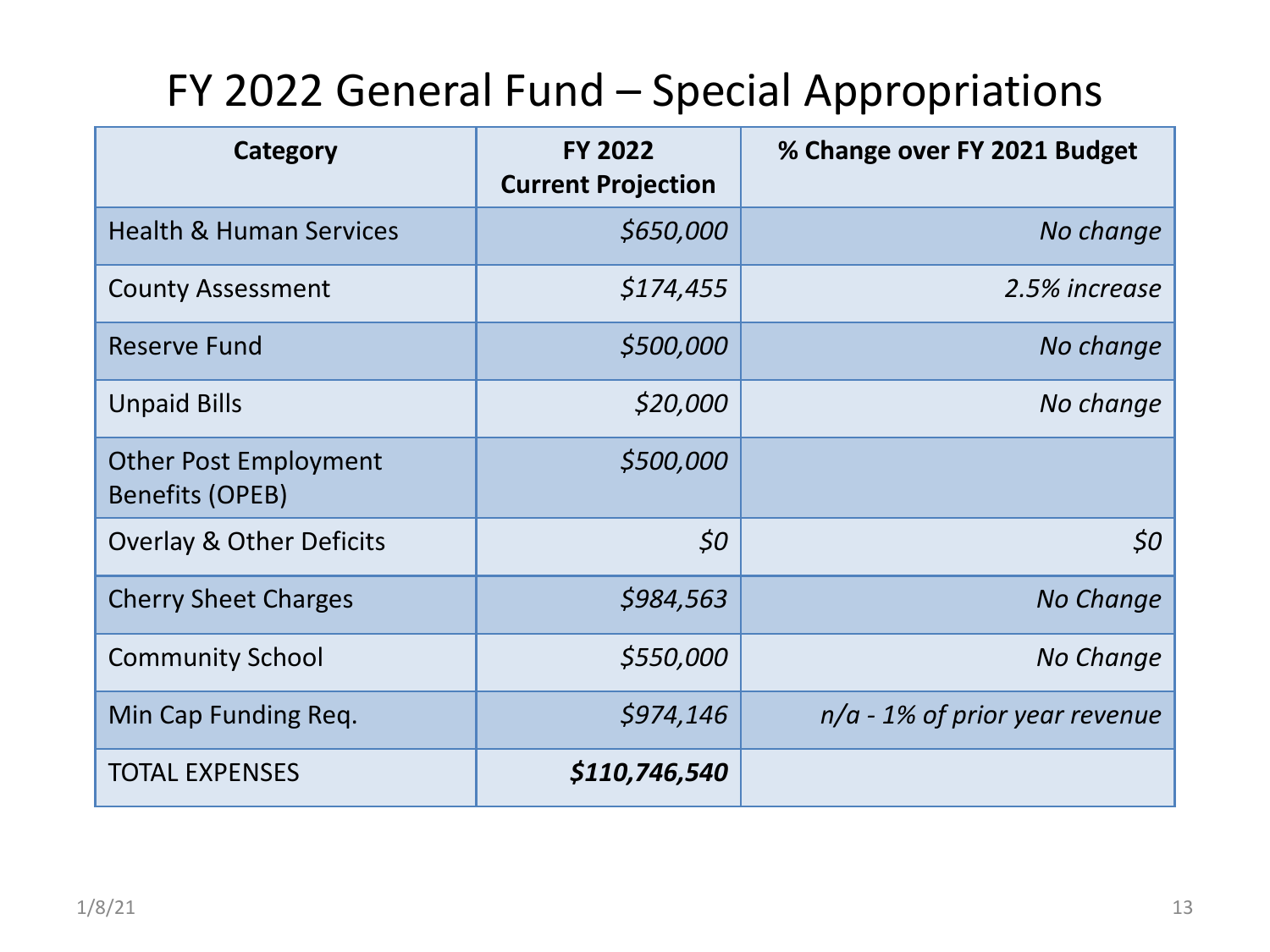#### FY 2022 General Fund – Special Appropriations

| Category                                        | <b>FY 2022</b><br><b>Current Projection</b> | % Change over FY 2021 Budget     |
|-------------------------------------------------|---------------------------------------------|----------------------------------|
| <b>Health &amp; Human Services</b>              | \$650,000                                   | No change                        |
| <b>County Assessment</b>                        | \$174,455                                   | 2.5% increase                    |
| <b>Reserve Fund</b>                             | \$500,000                                   | No change                        |
| <b>Unpaid Bills</b>                             | \$20,000                                    | No change                        |
| <b>Other Post Employment</b><br>Benefits (OPEB) | \$500,000                                   |                                  |
| Overlay & Other Deficits                        | \$0                                         | 50                               |
| <b>Cherry Sheet Charges</b>                     | \$984,563                                   | No Change                        |
| <b>Community School</b>                         | \$550,000                                   | No Change                        |
| Min Cap Funding Req.                            | \$974,146                                   | $n/a$ - 1% of prior year revenue |
| <b>TOTAL EXPENSES</b>                           | \$110,746,540                               |                                  |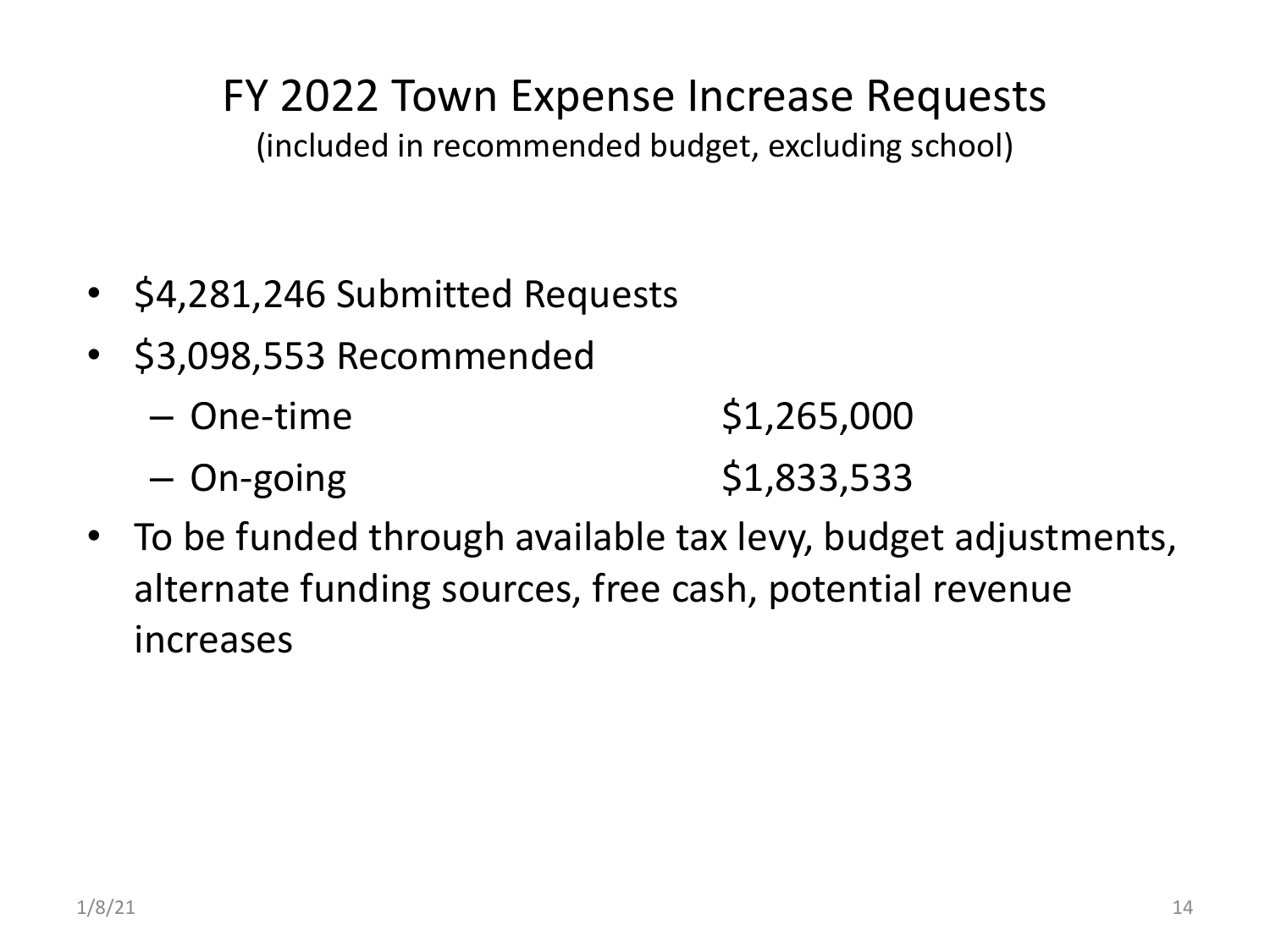#### FY 2022 Town Expense Increase Requests

(included in recommended budget, excluding school)

- \$4,281,246 Submitted Requests
- \$3,098,553 Recommended

| – One-time | \$1,265,000 |
|------------|-------------|
| - On-going | \$1,833,533 |

• To be funded through available tax levy, budget adjustments, alternate funding sources, free cash, potential revenue increases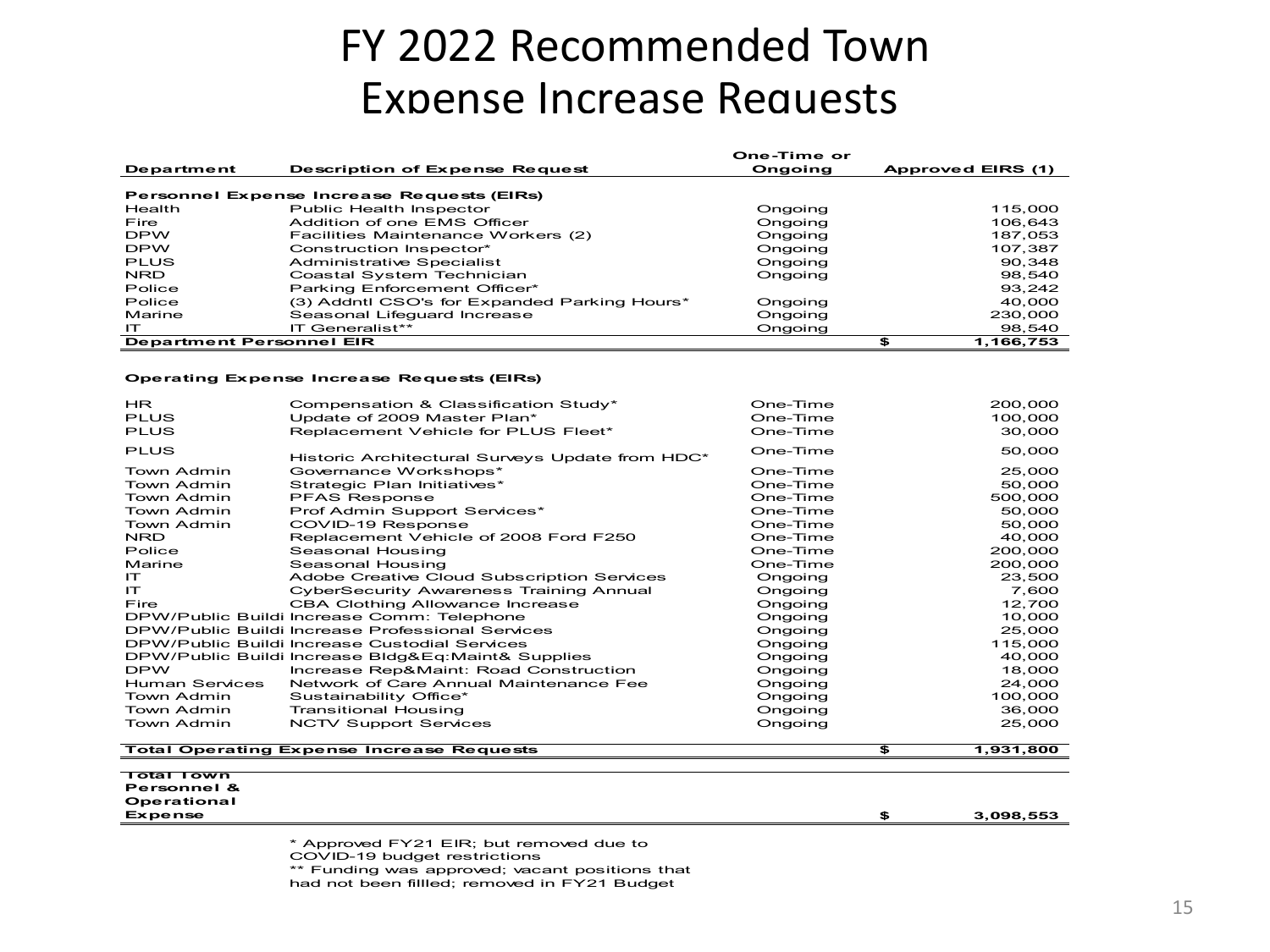#### FY 2022 Recommended Town Expense Increase Requests

|                                 |                                              | One-Time or |                   |
|---------------------------------|----------------------------------------------|-------------|-------------------|
| Department                      | <b>Description of Expense Request</b>        | Ongoing     | Approved EIRS (1) |
|                                 |                                              |             |                   |
|                                 | Personnel Expense Increase Requests (EIRs)   |             |                   |
| Health                          | Public Health Inspector                      | Ongoing     | 115.000           |
| Fire                            | Addition of one EMS Officer                  | Ongoing     | 106.643           |
| <b>DPW</b>                      | Facilities Maintenance Workers (2)           | Ongoing     | 187.053           |
| <b>DPW</b>                      | Construction Inspector*                      | Ongoing     | 107.387           |
| <b>PLUS</b>                     | <b>Administrative Specialist</b>             | Ongoing     | 90.348            |
| NRD.                            | Coastal System Technician                    | Ongoing     | 98,540            |
| Police                          | Parking Enforcement Officer*                 |             | 93.242            |
| Police                          | (3) Addntl CSO's for Expanded Parking Hours* | Ongoing     | 40,000            |
| Marine                          | Seasonal Lifeguard Increase                  | Ongoing     | 230.000           |
| IТ                              | IT Generalist**                              | Ongoing     | 98,540            |
| <b>Department Personnel EIR</b> |                                              |             | £<br>1.166.753    |

#### **Operating Expense Increase Requests (EIRs)**

| <b>HR</b><br><b>PLUS</b> | Compensation & Classification Study*<br>Update of 2009 Master Plan* | One-Time<br>One-Time | 200.000<br>100.000 |
|--------------------------|---------------------------------------------------------------------|----------------------|--------------------|
| <b>PLUS</b>              | Replacement Vehicle for PLUS Fleet*                                 | One-Time             | 30,000             |
| <b>PLUS</b>              | Historic Architectural Surveys Update from HDC*                     | One-Time             | 50,000             |
| Town Admin               | Governance Workshops*                                               | One-Time             | 25,000             |
| Town Admin               | Strategic Plan Initiatives*                                         | One-Time             | 50,000             |
| Town Admin               | <b>PFAS Response</b>                                                | One-Time             | 500,000            |
| Town Admin               | Prof Admin Support Services*                                        | One-Time             | 50,000             |
| Town Admin               | COVID-19 Response                                                   | One-Time             | 50,000             |
| <b>NRD</b>               | Replacement Vehicle of 2008 Ford F250                               | One-Time             | 40,000             |
| Police                   | Seasonal Housing                                                    | One-Time             | 200,000            |
| Marine                   | Seasonal Housing                                                    | One-Time             | 200,000            |
| IТ.                      | Adobe Creative Cloud Subscription Services                          | Ongoing              | 23,500             |
| IТ                       | <b>CyberSecurity Awareness Training Annual</b>                      | Ongoing              | 7,600              |
| Fire                     | CBA Clothing Allowance Increase                                     | Ongoing              | 12,700             |
|                          | DPW/Public Buildi Increase Comm: Telephone                          | Ongoing              | 10,000             |
|                          | DPW/Public Buildi Increase Professional Services                    | Ongoing              | 25,000             |
|                          | DPW/Public Buildi Increase Custodial Services                       | Ongoing              | 115,000            |
|                          | DPW/Public Buildi Increase Bldg&Eq:Maint& Supplies                  | Ongoing              | 40,000             |
| <b>DPW</b>               | Increase Rep&Maint: Road Construction                               | Ongoing              | 18.000             |
| <b>Human Services</b>    | Network of Care Annual Maintenance Fee                              | Ongoing              | 24,000             |
| Town Admin               | Sustainability Office*                                              | Ongoing              | 100,000            |
| Town Admin               | <b>Transitional Housing</b>                                         | Ongoing              | 36,000             |
| Town Admin               | <b>NCTV Support Services</b>                                        | Ongoing              | 25.000             |
|                          | <b>Total Operating Expense Increase Requests</b>                    |                      | \$<br>1,931,800    |

**Total Town Personnel & Operational Expense \$ 3,098,553**

\* Approved FY21 EIR; but removed due to

COVID-19 budget restrictions

\*\* Funding was approved; vacant positions that

had not been fillled; removed in FY21 Budget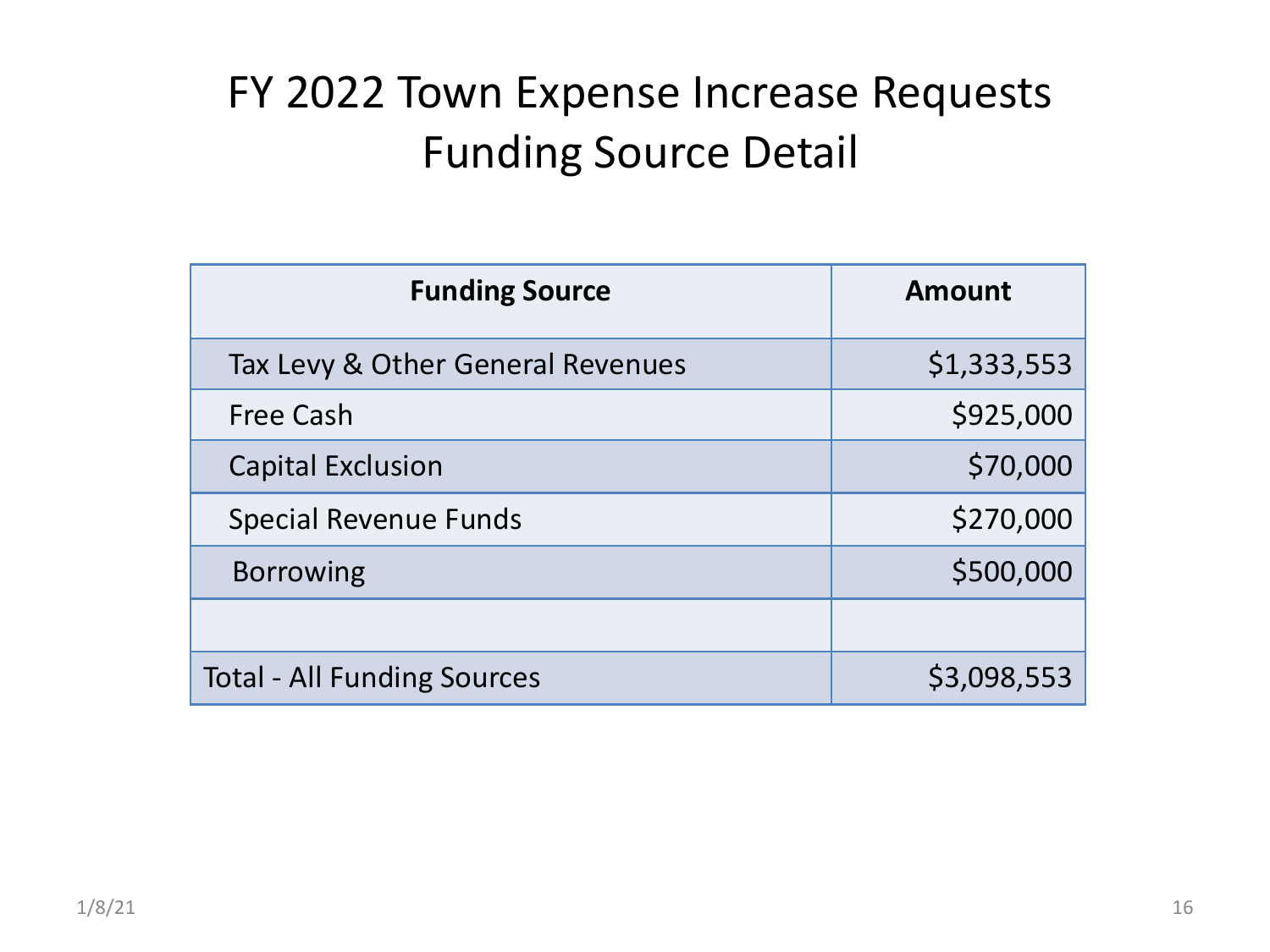#### FY 2022 Town Expense Increase Requests Funding Source Detail

| <b>Funding Source</b>              | <b>Amount</b> |
|------------------------------------|---------------|
| Tax Levy & Other General Revenues  | \$1,333,553   |
| <b>Free Cash</b>                   | \$925,000     |
| <b>Capital Exclusion</b>           | \$70,000      |
| <b>Special Revenue Funds</b>       | \$270,000     |
| <b>Borrowing</b>                   | \$500,000     |
|                                    |               |
| <b>Total - All Funding Sources</b> | \$3,098,553   |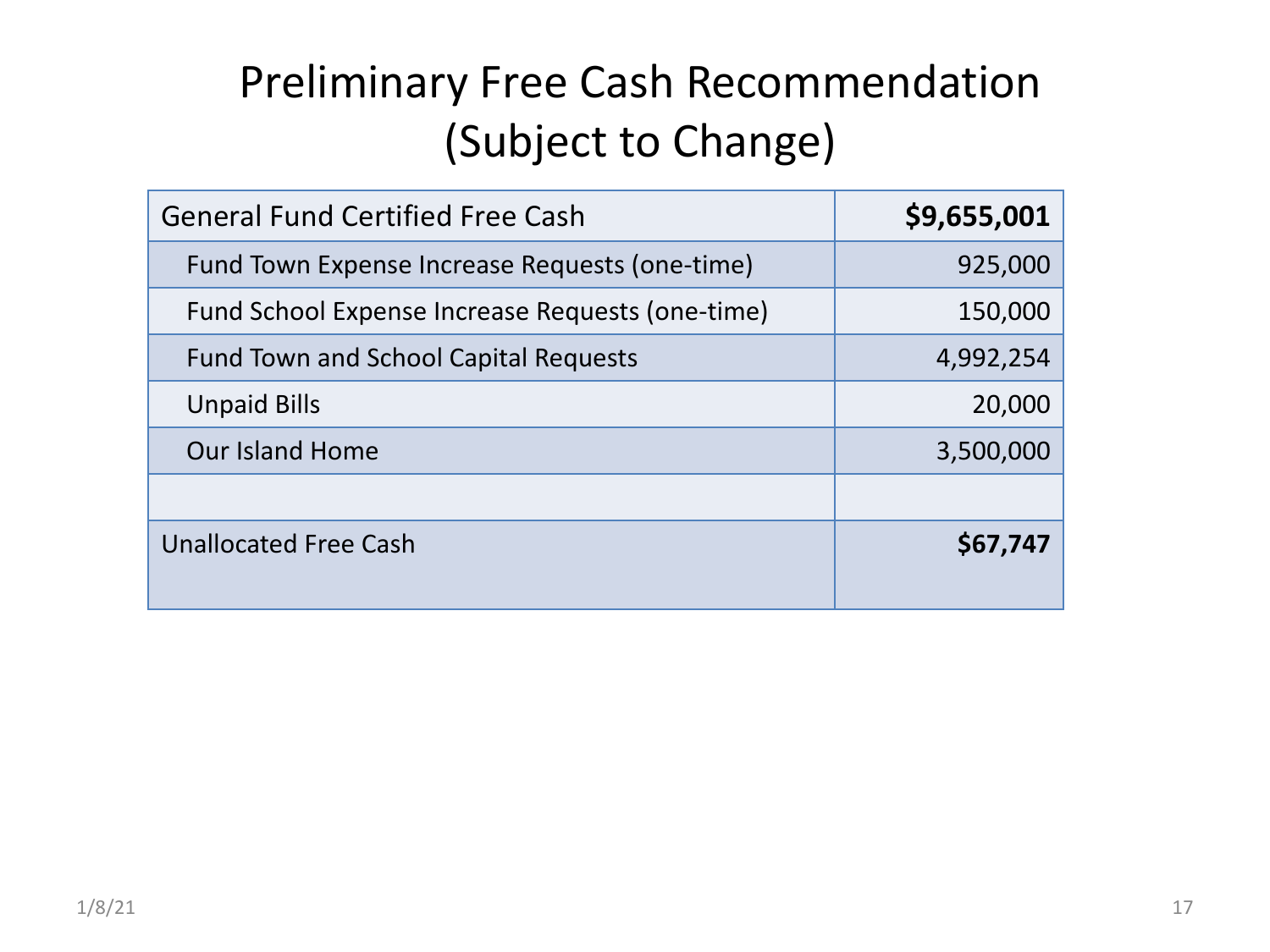## Preliminary Free Cash Recommendation (Subject to Change)

| <b>General Fund Certified Free Cash</b>          | \$9,655,001 |
|--------------------------------------------------|-------------|
| Fund Town Expense Increase Requests (one-time)   | 925,000     |
| Fund School Expense Increase Requests (one-time) | 150,000     |
| <b>Fund Town and School Capital Requests</b>     | 4,992,254   |
| <b>Unpaid Bills</b>                              | 20,000      |
| <b>Our Island Home</b>                           | 3,500,000   |
|                                                  |             |
| <b>Unallocated Free Cash</b>                     | \$67,747    |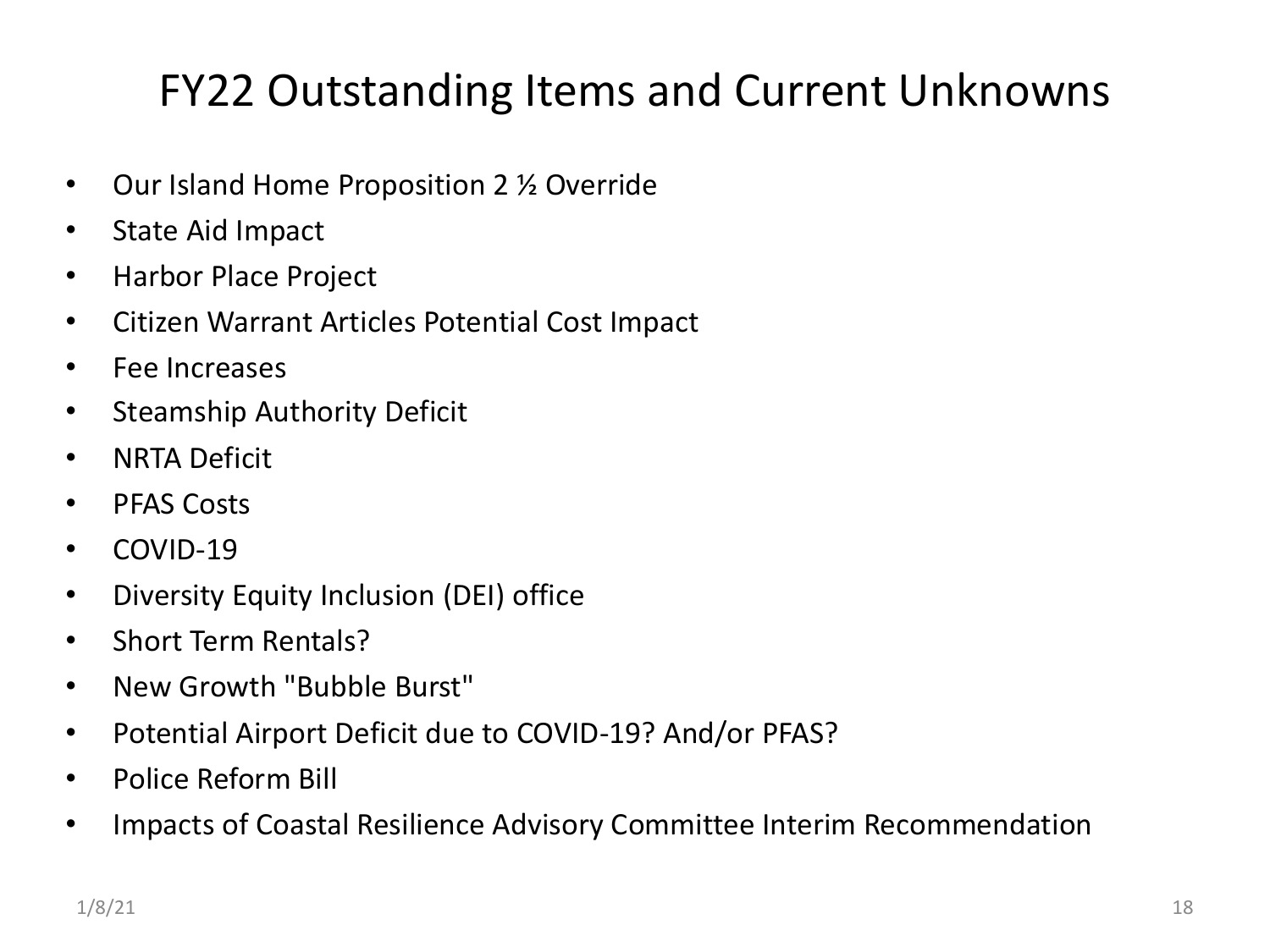#### FY22 Outstanding Items and Current Unknowns

- Our Island Home Proposition 2 <sup>1</sup>/<sub>2</sub> Override
- State Aid Impact
- Harbor Place Project
- Citizen Warrant Articles Potential Cost Impact
- Fee Increases
- Steamship Authority Deficit
- NRTA Deficit
- PFAS Costs
- COVID-19
- Diversity Equity Inclusion (DEI) office
- Short Term Rentals?
- New Growth "Bubble Burst"
- Potential Airport Deficit due to COVID-19? And/or PFAS?
- Police Reform Bill
- Impacts of Coastal Resilience Advisory Committee Interim Recommendation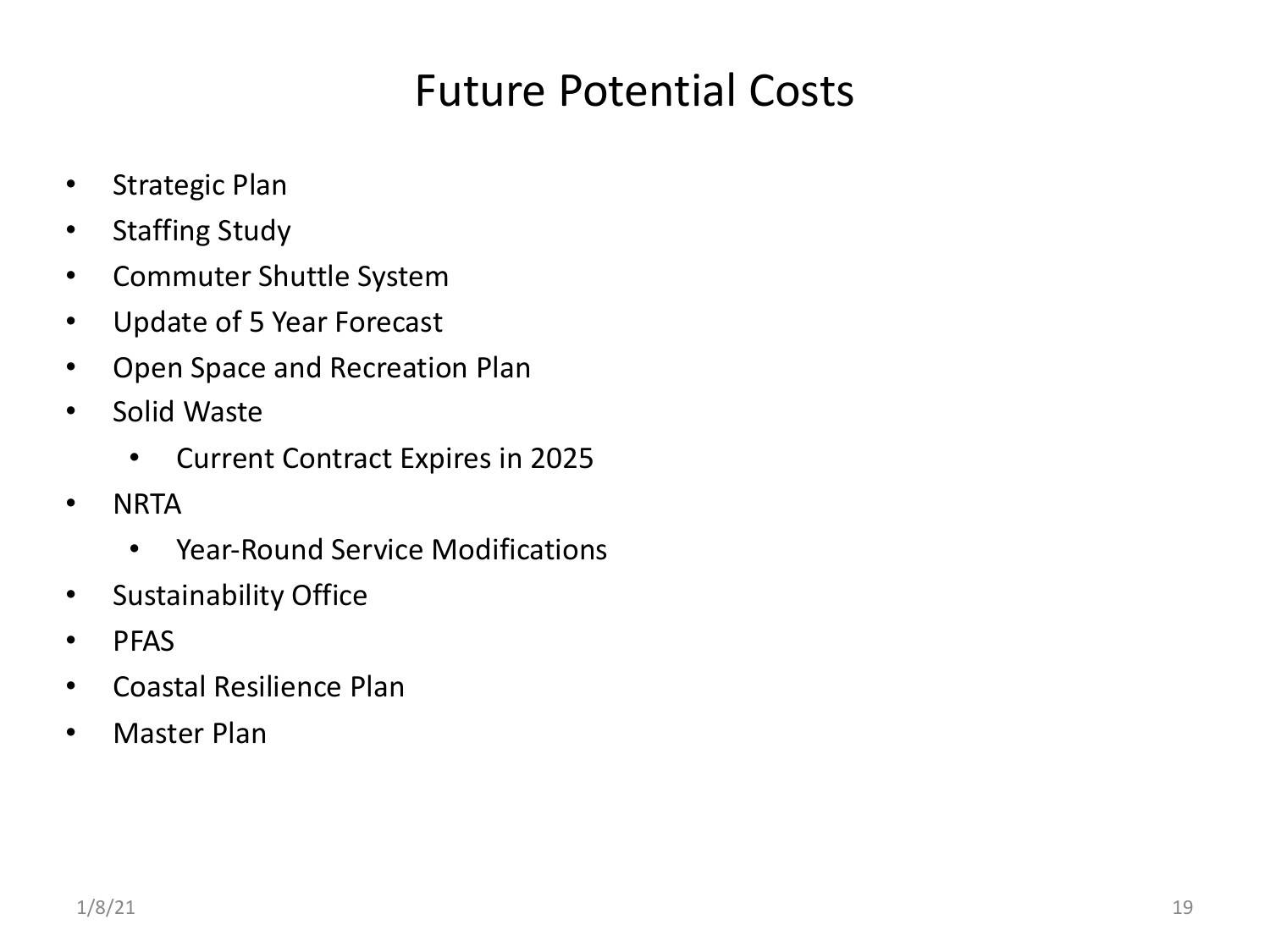#### Future Potential Costs

- Strategic Plan
- Staffing Study
- Commuter Shuttle System
- Update of 5 Year Forecast
- Open Space and Recreation Plan
- Solid Waste
	- Current Contract Expires in 2025
- NRTA
	- Year-Round Service Modifications
- Sustainability Office
- PFAS
- Coastal Resilience Plan
- Master Plan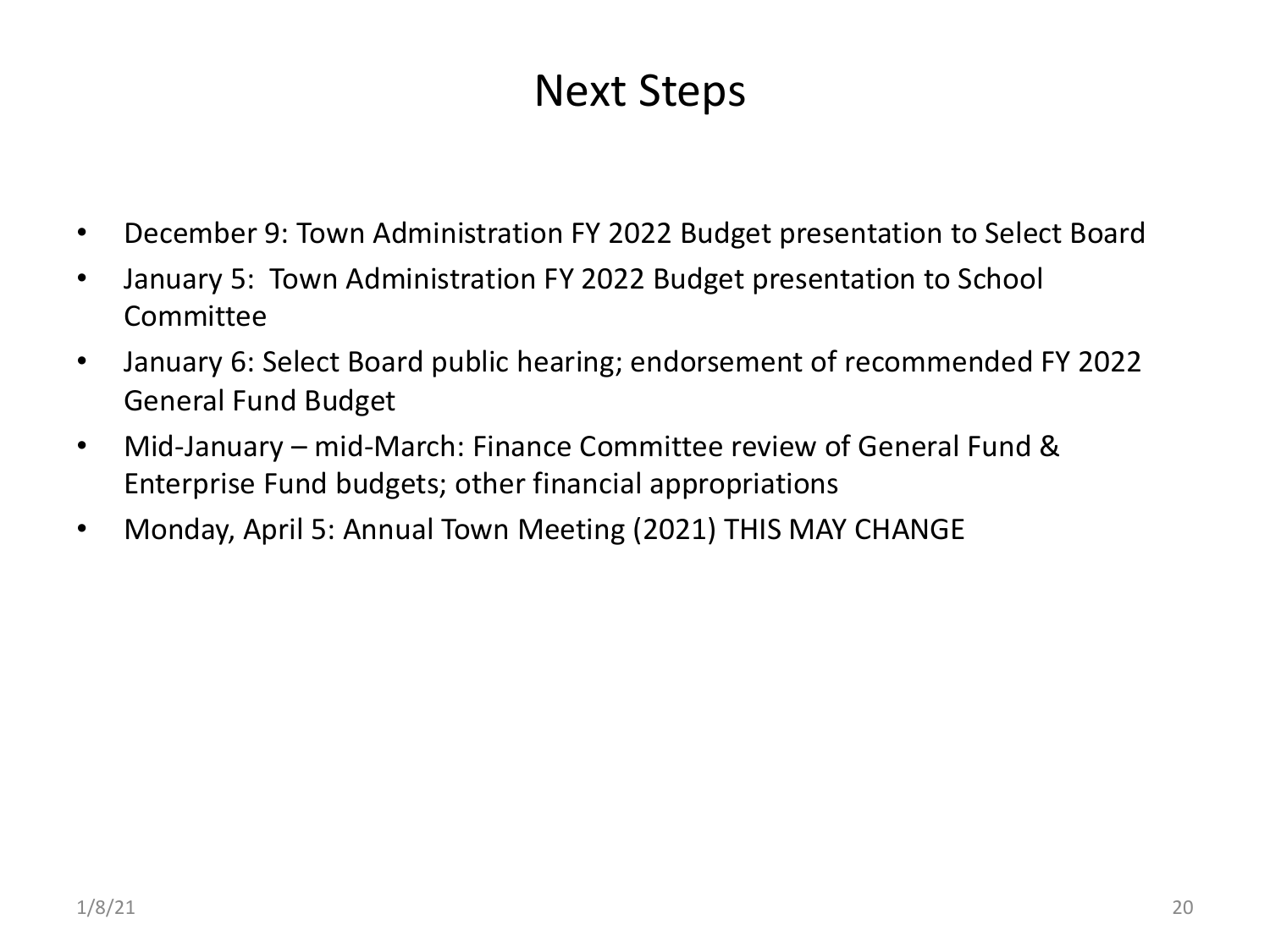#### Next Steps

- December 9: Town Administration FY 2022 Budget presentation to Select Board
- January 5: Town Administration FY 2022 Budget presentation to School Committee
- January 6: Select Board public hearing; endorsement of recommended FY 2022 General Fund Budget
- Mid-January mid-March: Finance Committee review of General Fund & Enterprise Fund budgets; other financial appropriations
- Monday, April 5: Annual Town Meeting (2021) THIS MAY CHANGE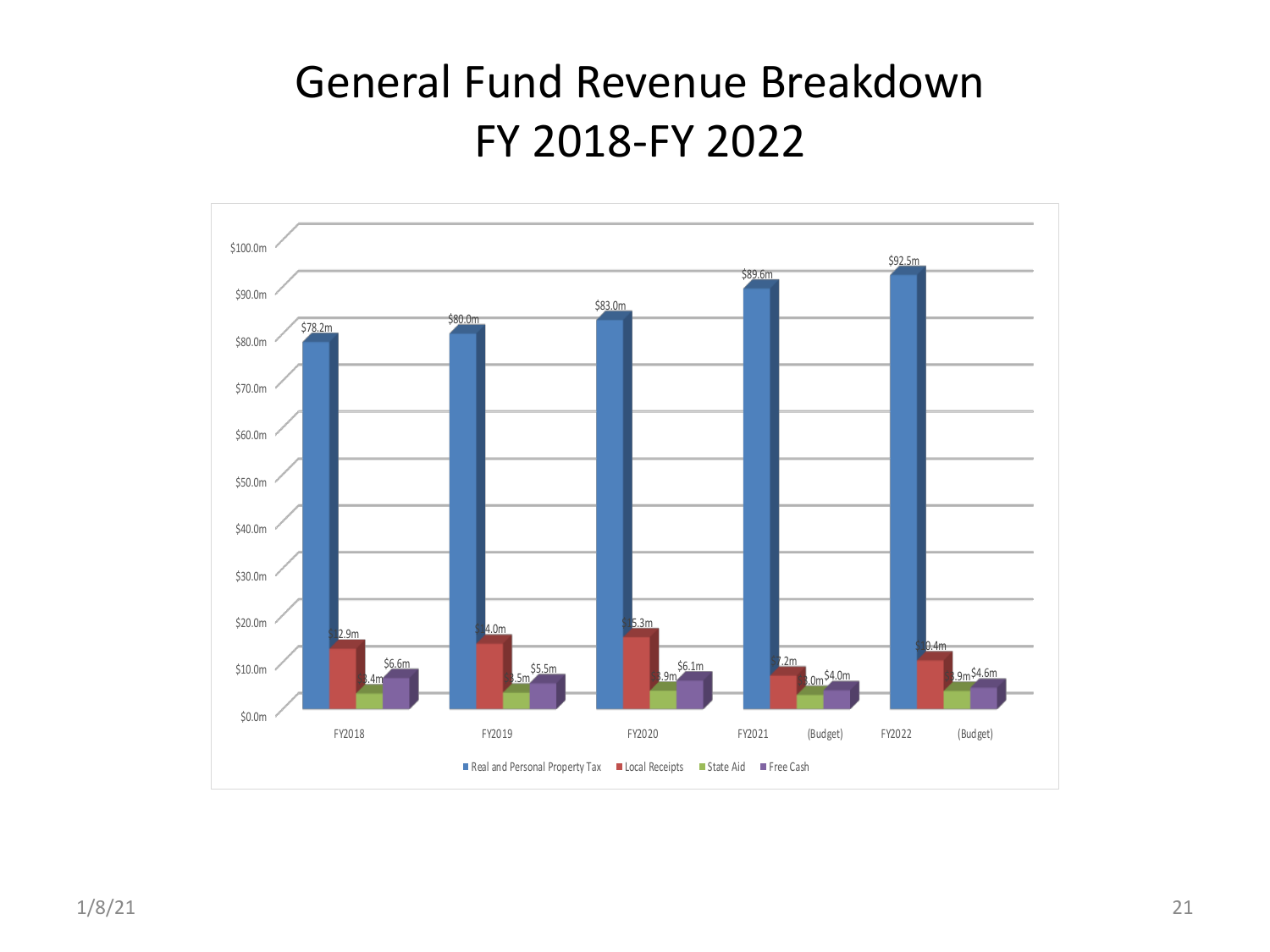#### General Fund Revenue Breakdown FY 2018-FY 2022

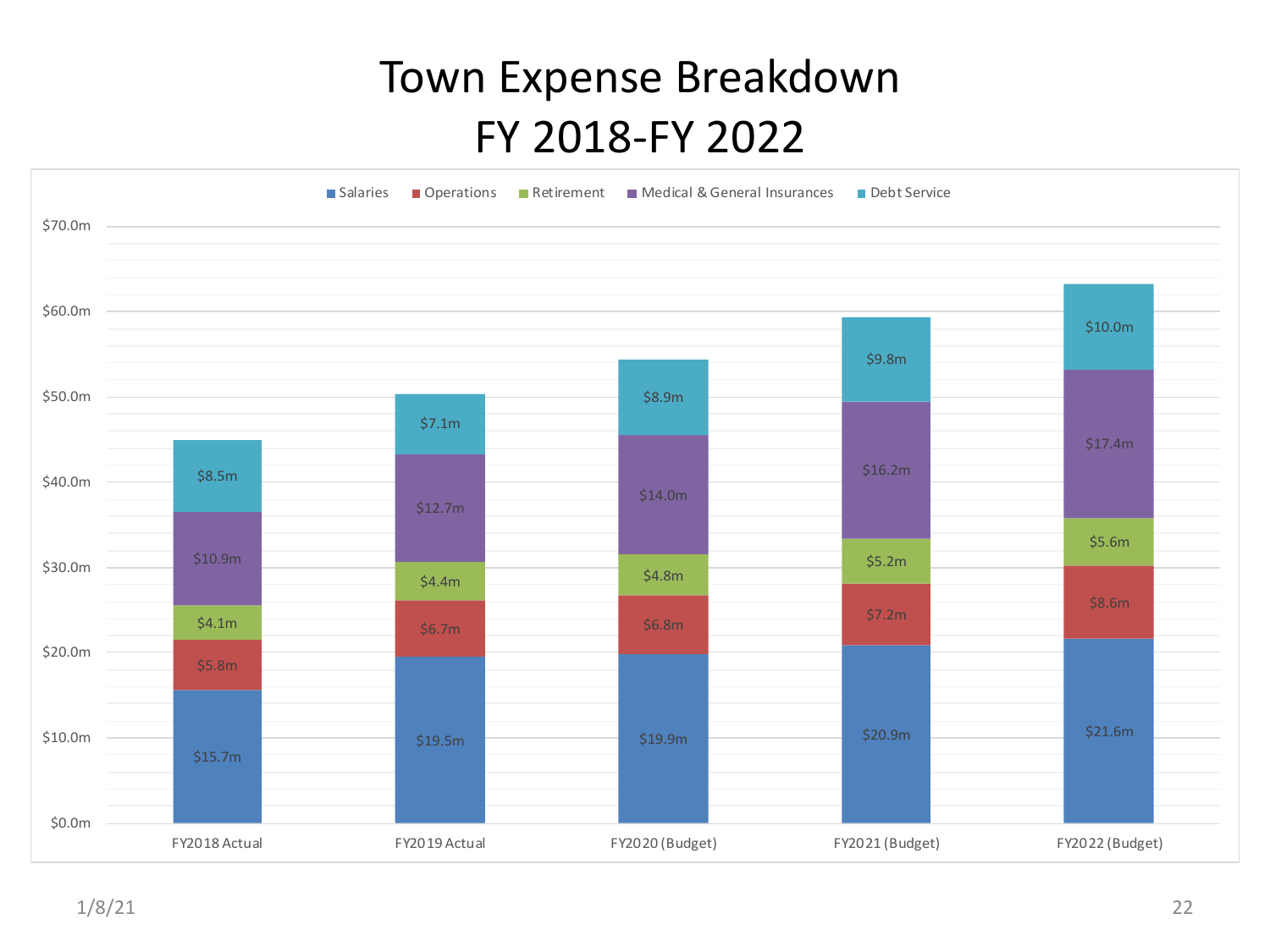#### Town Expense Breakdown FY 2018-FY 2022

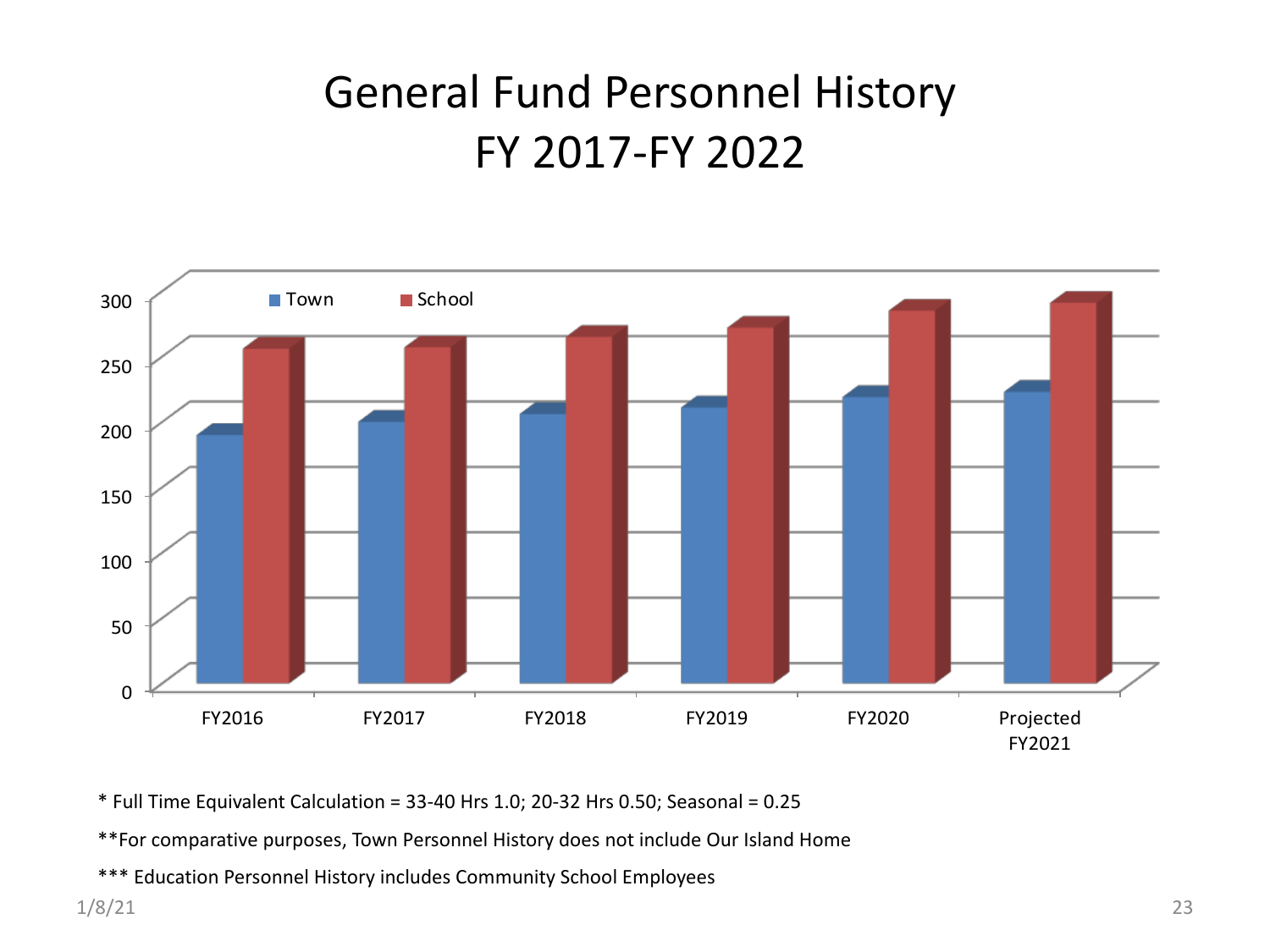#### General Fund Personnel History FY 2017-FY 2022



 $*$  Full Time Equivalent Calculation = 33-40 Hrs 1.0; 20-32 Hrs 0.50; Seasonal = 0.25

\*\*For comparative purposes, Town Personnel History does not include Our Island Home

\*\*\* Education Personnel History includes Community School Employees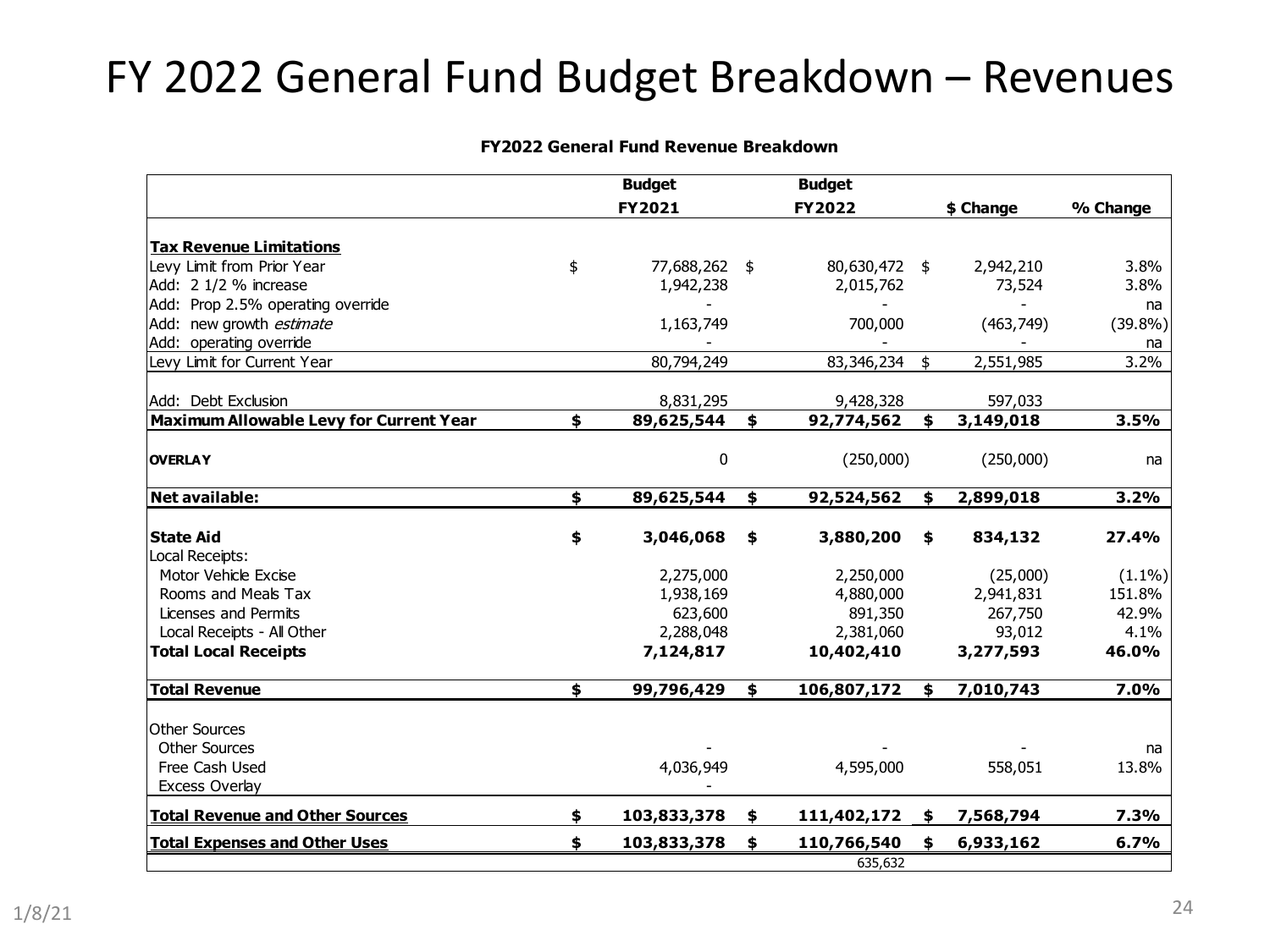#### FY 2022 General Fund Budget Breakdown – Revenues

#### **FY2022 General Fund Revenue Breakdown**

|                                                | <b>Budget</b>       | <b>Budget</b>          |                 |           |
|------------------------------------------------|---------------------|------------------------|-----------------|-----------|
|                                                | FY2021              | <b>FY2022</b>          | \$ Change       | % Change  |
| <b>Tax Revenue Limitations</b>                 |                     |                        |                 |           |
| Levy Limit from Prior Year                     | \$<br>77,688,262 \$ | 80,630,472 \$          | 2,942,210       | 3.8%      |
| Add: 2 1/2 % increase                          | 1,942,238           | 2,015,762              | 73,524          | 3.8%      |
| Add: Prop 2.5% operating override              |                     |                        |                 | na        |
| Add: new growth estimate                       | 1,163,749           | 700,000                | (463, 749)      | (39.8%)   |
| Add: operating override                        |                     |                        |                 | na        |
| Levy Limit for Current Year                    | 80,794,249          | 83,346,234 \$          | 2,551,985       | 3.2%      |
| Add: Debt Exclusion                            | 8,831,295           | 9,428,328              | 597,033         |           |
| <b>Maximum Allowable Levy for Current Year</b> | \$<br>89,625,544    | \$<br>92,774,562       | \$<br>3,149,018 | 3.5%      |
| <b>OVERLAY</b>                                 | 0                   | (250,000)              | (250,000)       | na        |
| Net available:                                 | \$<br>89,625,544    | \$<br>92,524,562       | \$<br>2,899,018 | 3.2%      |
|                                                |                     |                        |                 |           |
| <b>State Aid</b><br>Local Receipts:            | \$<br>3,046,068     | \$<br>3,880,200        | \$<br>834,132   | 27.4%     |
| Motor Vehicle Excise                           | 2,275,000           | 2,250,000              | (25,000)        | $(1.1\%)$ |
| Rooms and Meals Tax                            | 1,938,169           | 4,880,000              | 2,941,831       | 151.8%    |
| Licenses and Permits                           | 623,600             | 891,350                | 267,750         | 42.9%     |
| Local Receipts - All Other                     | 2,288,048           | 2,381,060              | 93,012          | 4.1%      |
| <b>Total Local Receipts</b>                    | 7,124,817           | 10,402,410             | 3,277,593       | 46.0%     |
| <b>Total Revenue</b>                           | \$<br>99,796,429    | \$<br>$106,807,172$ \$ | 7,010,743       | 7.0%      |
| <b>Other Sources</b>                           |                     |                        |                 |           |
| <b>Other Sources</b>                           |                     |                        |                 | na        |
| Free Cash Used                                 | 4,036,949           | 4,595,000              | 558,051         | 13.8%     |
| Excess Overlay                                 |                     |                        |                 |           |
| <b>Total Revenue and Other Sources</b>         | \$<br>103,833,378   | \$<br>111,402,172 \$   | 7,568,794       | 7.3%      |
| <b>Total Expenses and Other Uses</b>           | \$<br>103,833,378   | \$<br>110,766,540      | \$<br>6,933,162 | 6.7%      |
|                                                |                     | 635,632                |                 |           |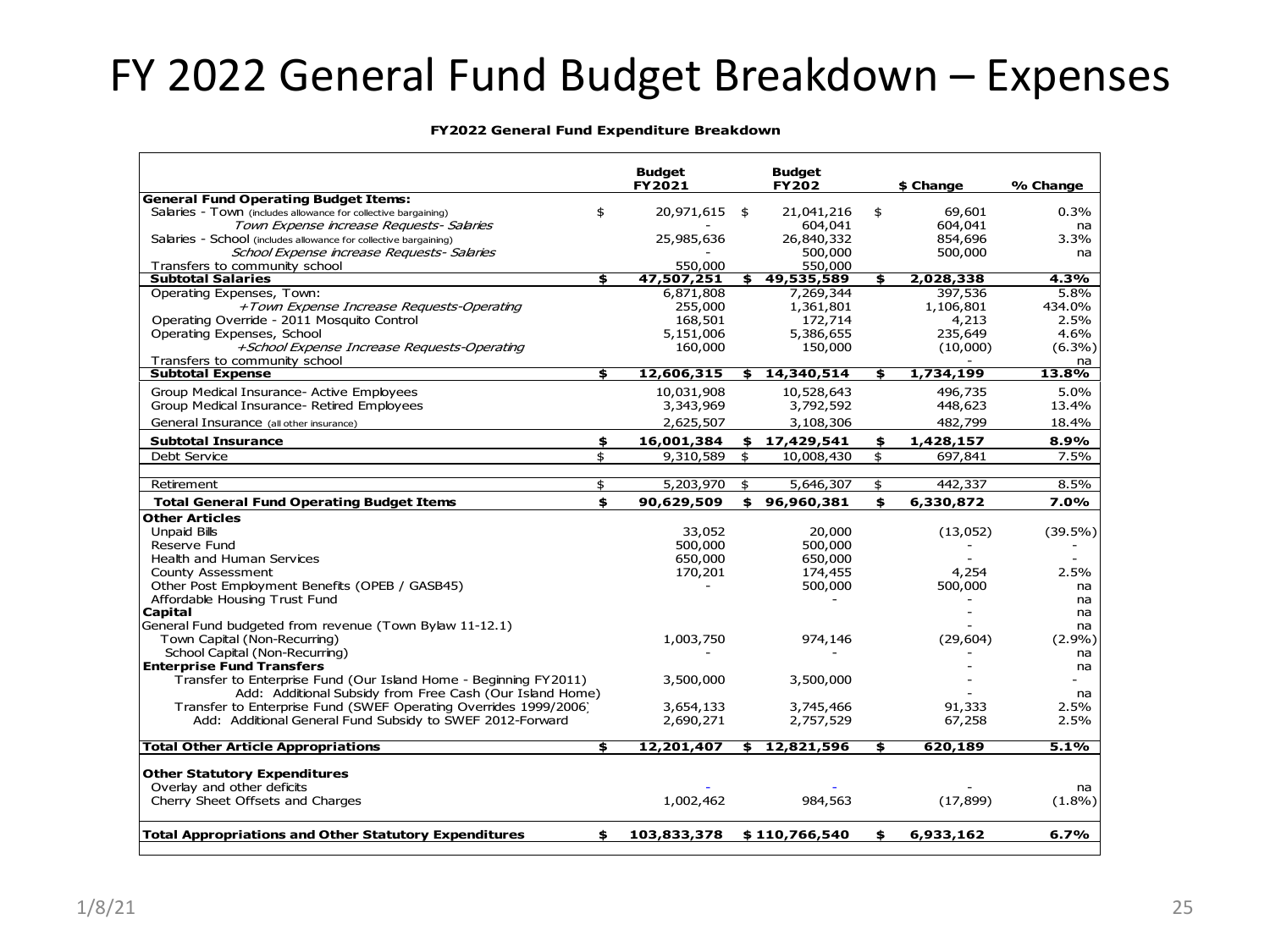#### FY 2022 General Fund Budget Breakdown – Expenses

#### **FY2022 General Fund Expenditure Breakdown**

|                                                                      | <b>Budget</b><br>FY2021   | <b>Budget</b><br><b>FY202</b> |     | \$ Change | % Change   |
|----------------------------------------------------------------------|---------------------------|-------------------------------|-----|-----------|------------|
| <b>General Fund Operating Budget Items:</b>                          |                           |                               |     |           |            |
| \$<br>Salaries - Town (includes allowance for collective bargaining) | 20,971,615                | \$<br>21,041,216              | \$  | 69,601    | $0.3\%$    |
| Town Expense increase Requests- Salaries                             |                           | 604,041                       |     | 604,041   | na         |
| Salaries - School (includes allowance for collective bargaining)     | 25,985,636                | 26,840,332                    |     | 854,696   | 3.3%       |
| School Expense increase Requests- Salaries                           |                           | 500,000                       |     | 500,000   | na         |
| Transfers to community school                                        | 550,000                   | 550,000                       |     |           |            |
| <b>Subtotal Salaries</b><br>\$                                       | 47,507,251                | \$<br>49,535,589              | \$. | 2,028,338 | 4.3%       |
| Operating Expenses, Town:                                            | 6,871,808                 | 7,269,344                     |     | 397,536   | 5.8%       |
| +Town Expense Increase Requests-Operating                            | 255,000                   | 1,361,801                     |     | 1,106,801 | 434.0%     |
| Operating Override - 2011 Mosquito Control                           | 168,501                   | 172,714                       |     | 4,213     | 2.5%       |
| Operating Expenses, School                                           | 5,151,006                 | 5,386,655                     |     | 235,649   | 4.6%       |
| +School Expense Increase Requests-Operating                          | 160,000                   | 150,000                       |     | (10,000)  | $(6.3\%)$  |
| Transfers to community school                                        |                           |                               |     |           | na         |
| <b>Subtotal Expense</b><br>\$                                        | 12,606,315                | \$<br>14,340,514              | \$  | 1,734,199 | 13.8%      |
| Group Medical Insurance- Active Employees                            | 10,031,908                | 10,528,643                    |     | 496,735   | 5.0%       |
| Group Medical Insurance- Retired Employees                           | 3,343,969                 | 3,792,592                     |     | 448,623   | 13.4%      |
| General Insurance (all other insurance)                              | 2,625,507                 | 3,108,306                     |     | 482,799   | 18.4%      |
| \$<br><b>Subtotal Insurance</b>                                      | 16,001,384                | \$17,429,541                  | \$  | 1,428,157 | 8.9%       |
| \$<br>Debt Service                                                   | 9,310,589                 | \$<br>10,008,430              | \$  | 697,841   | 7.5%       |
|                                                                      |                           |                               |     |           |            |
| \$<br>Retirement                                                     | 5,203,970                 | \$<br>5,646,307               | \$  | 442,337   | 8.5%       |
| <b>Total General Fund Operating Budget Items</b><br>\$               | 90,629,509                | \$96,960,381                  | \$  | 6,330,872 | 7.0%       |
| <b>Other Articles</b>                                                |                           |                               |     |           |            |
| Unpaid Bills                                                         | 33,052                    | 20,000                        |     | (13,052)  | $(39.5\%)$ |
| Reserve Fund                                                         | 500,000                   | 500,000                       |     |           |            |
| Health and Human Services                                            | 650,000                   | 650,000                       |     |           |            |
| <b>County Assessment</b>                                             | 170,201                   | 174,455                       |     | 4,254     | 2.5%       |
| Other Post Employment Benefits (OPEB / GASB45)                       |                           | 500,000                       |     | 500,000   | na         |
| Affordable Housing Trust Fund                                        |                           |                               |     |           | na         |
| Capital                                                              |                           |                               |     |           | na         |
| General Fund budgeted from revenue (Town Bylaw 11-12.1)              |                           |                               |     |           | na         |
| Town Capital (Non-Recurring)                                         | 1,003,750                 | 974,146                       |     | (29, 604) | $(2.9\%)$  |
| School Capital (Non-Recurring)                                       |                           |                               |     |           | na         |
| <b>Enterprise Fund Transfers</b>                                     |                           |                               |     |           | na         |
| Transfer to Enterprise Fund (Our Island Home - Beginning FY2011)     | 3,500,000                 | 3,500,000                     |     |           |            |
| Add: Additional Subsidy from Free Cash (Our Island Home)             |                           |                               |     |           | na         |
| Transfer to Enterprise Fund (SWEF Operating Overrides 1999/2006)     | 3,654,133                 | 3,745,466                     |     | 91,333    | 2.5%       |
| Add: Additional General Fund Subsidy to SWEF 2012-Forward            | 2,690,271                 | 2,757,529                     |     | 67,258    | 2.5%       |
| <b>Total Other Article Appropriations</b><br>\$                      | 12,201,407                | \$<br>12,821,596              | \$  | 620,189   | 5.1%       |
|                                                                      |                           |                               |     |           |            |
| <b>Other Statutory Expenditures</b>                                  |                           |                               |     |           |            |
| Overlay and other deficits                                           |                           |                               |     |           | na         |
| Cherry Sheet Offsets and Charges                                     | 1,002,462                 | 984,563                       |     | (17, 899) | $(1.8\%)$  |
| <b>Total Appropriations and Other Statutory Expenditures</b><br>\$   | 103,833,378 \$110,766,540 |                               | \$  | 6,933,162 | 6.7%       |
|                                                                      |                           |                               |     |           |            |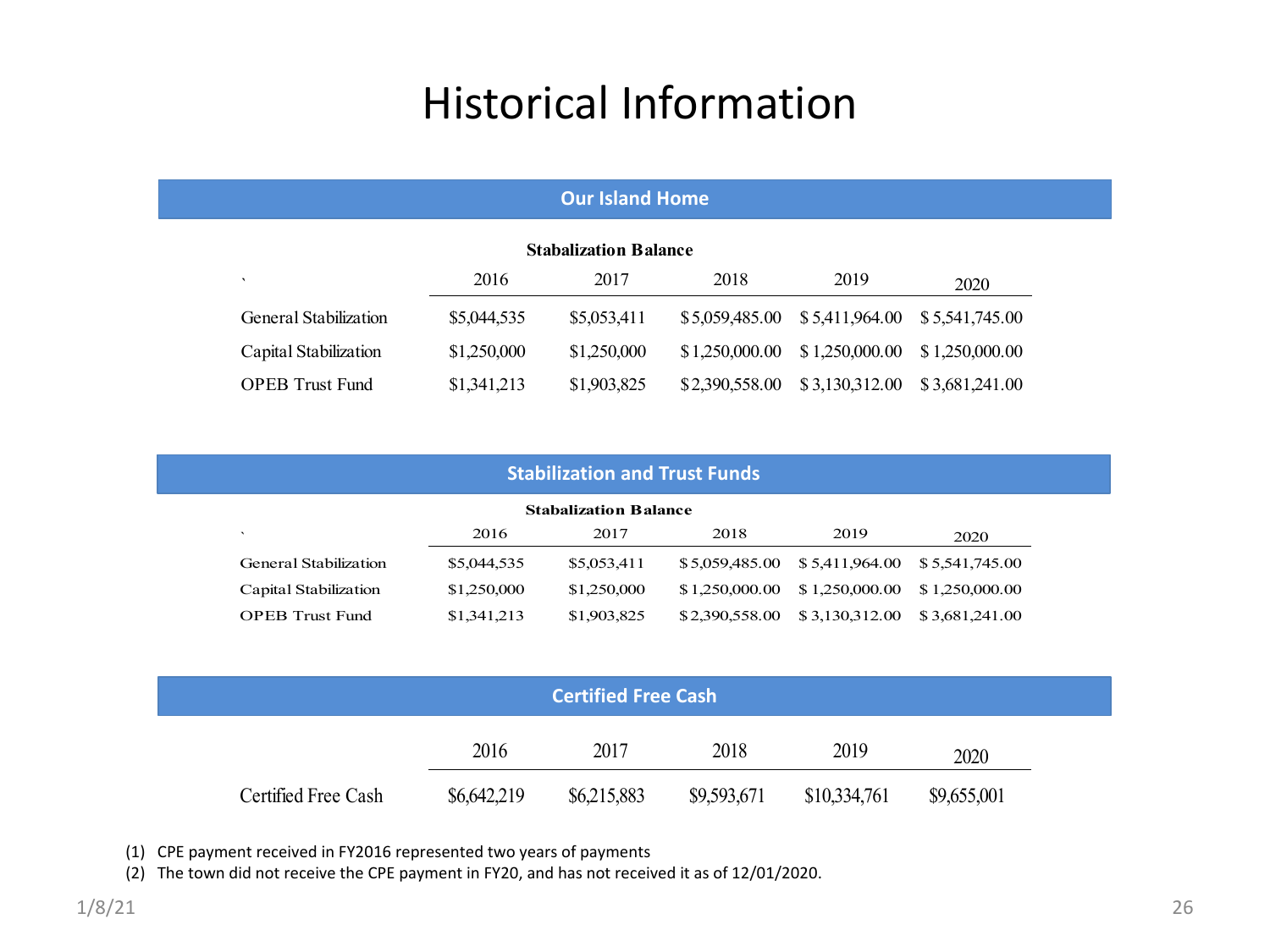#### Historical Information

| <b>Our Island Home</b>   |             |                              |                |                                 |                |  |
|--------------------------|-------------|------------------------------|----------------|---------------------------------|----------------|--|
|                          |             | <b>Stabalization Balance</b> |                |                                 |                |  |
| $\overline{\phantom{a}}$ | 2016        | 2017                         | 2018           | 2019                            | 2020           |  |
| General Stabilization    | \$5,044,535 | \$5,053,411                  |                | $$5,059,485.00$ $$5,411,964.00$ | \$5,541,745.00 |  |
| Capital Stabilization    | \$1,250,000 | \$1,250,000                  | \$1,250,000.00 | \$1,250,000.00                  | \$1,250,000.00 |  |
| <b>OPER Trust Fund</b>   | \$1,341,213 | \$1,903,825                  | \$2,390,558.00 | \$3,130,312.00                  | \$3,681,241.00 |  |

| <b>Stabilization and Trust Funds</b> |             |             |                |                                                         |                |  |  |  |  |
|--------------------------------------|-------------|-------------|----------------|---------------------------------------------------------|----------------|--|--|--|--|
| <b>Stabalization Balance</b>         |             |             |                |                                                         |                |  |  |  |  |
| $\overline{\phantom{a}}$             | 2016        | 2017        | 2018           | 2019                                                    | 2020           |  |  |  |  |
| General Stabilization                | \$5,044,535 | \$5,053,411 |                | $$5,059,485,00 \quad $5,411,964,00 \quad $5,541,745,00$ |                |  |  |  |  |
| Capital Stabilization                | \$1,250,000 | \$1,250,000 | \$1,250,000.00 | \$1,250,000,00                                          | \$1,250,000.00 |  |  |  |  |
| <b>OPEB</b> Trust Fund               | \$1,341,213 | \$1,903,825 | \$2,390,558.00 | \$3,130,312.00                                          | \$3,681,241.00 |  |  |  |  |

| <b>Certified Free Cash</b> |             |             |             |              |             |  |  |
|----------------------------|-------------|-------------|-------------|--------------|-------------|--|--|
|                            | 2016        | 2017        | 2018        | 2019         | 2020        |  |  |
| Certified Free Cash        | \$6,642,219 | \$6,215,883 | \$9,593,671 | \$10,334,761 | \$9,655,001 |  |  |

(1) CPE payment received in FY2016 represented two years of payments

(2) The town did not receive the CPE payment in FY20, and has not received it as of 12/01/2020.